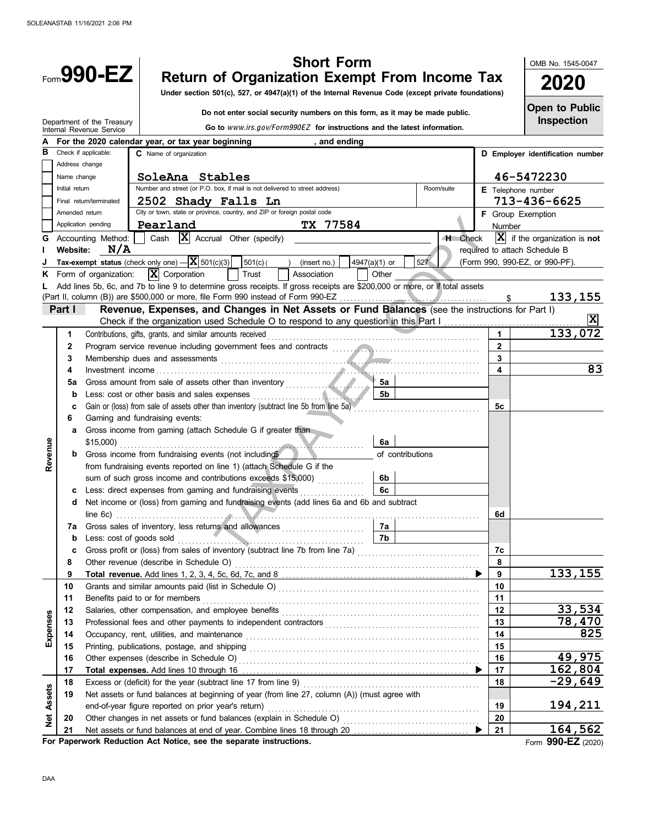|          |                | <b>Short Form</b><br>Form990-EZ                                                                                                                                                                                                      |                  |            |                         | OMB No. 1545-0047                         |
|----------|----------------|--------------------------------------------------------------------------------------------------------------------------------------------------------------------------------------------------------------------------------------|------------------|------------|-------------------------|-------------------------------------------|
|          |                | <b>Return of Organization Exempt From Income Tax</b>                                                                                                                                                                                 |                  |            |                         | 2020                                      |
|          |                | Under section 501(c), 527, or 4947(a)(1) of the Internal Revenue Code (except private foundations)                                                                                                                                   |                  |            |                         |                                           |
|          |                | Do not enter social security numbers on this form, as it may be made public.                                                                                                                                                         |                  |            |                         | <b>Open to Public</b>                     |
|          |                | Department of the Treasury<br>Go to www.irs.gov/Form990EZ for instructions and the latest information.<br>Internal Revenue Service                                                                                                   |                  |            |                         | <b>Inspection</b>                         |
|          |                | For the 2020 calendar year, or tax year beginning<br>, and ending                                                                                                                                                                    |                  |            |                         |                                           |
| в        |                | Check if applicable:<br>C Name of organization                                                                                                                                                                                       |                  |            |                         | D Employer identification number          |
|          |                | Address change                                                                                                                                                                                                                       |                  |            |                         |                                           |
|          | Name change    | SoleAna Stables                                                                                                                                                                                                                      |                  |            |                         | 46-5472230                                |
|          | Initial return | Number and street (or P.O. box, if mail is not delivered to street address)                                                                                                                                                          |                  | Room/suite |                         | E Telephone number                        |
|          |                | 2502 Shady Falls Ln<br>Final return/terminated                                                                                                                                                                                       |                  |            |                         | 713-436-6625                              |
|          |                | City or town, state or province, country, and ZIP or foreign postal code<br>Amended return                                                                                                                                           |                  |            |                         | <b>F</b> Group Exemption                  |
|          |                | Application pending<br>Pearland<br>TX 77584                                                                                                                                                                                          |                  |            | <b>Number</b>           |                                           |
| G        |                | Cash $\bar{X}$ Accrual Other (specify)<br>Accounting Method:                                                                                                                                                                         |                  | H Check    |                         | $ \mathbf{X} $ if the organization is not |
|          | Website:       | N/A                                                                                                                                                                                                                                  |                  |            |                         | required to attach Schedule B             |
|          |                | Tax-exempt status (check only one) $- \mathbf{X} $ 501(c)(3)<br>501(c)<br>(insert no.)                                                                                                                                               | 4947(a)(1) or    | 527        |                         | (Form 990, 990-EZ, or 990-PF).            |
|          |                | $ \mathbf{X} $ Corporation<br>Form of organization:<br>Trust<br>Association                                                                                                                                                          | Other            |            |                         |                                           |
|          |                | Add lines 5b, 6c, and 7b to line 9 to determine gross receipts. If gross receipts are \$200,000 or more, or if total assets                                                                                                          |                  |            | \$                      | 133,155                                   |
|          | Part I         | Revenue, Expenses, and Changes in Net Assets or Fund Balances (see the instructions for Part I)                                                                                                                                      |                  |            |                         |                                           |
|          |                | Check if the organization used Schedule O to respond to any question in this Part I                                                                                                                                                  |                  |            |                         | X                                         |
|          | 1              | Contributions, gifts, grants, and similar amounts received                                                                                                                                                                           |                  |            |                         | 133,072                                   |
|          | $\mathbf{2}$   | Program service revenue including government fees and contracts [11] [11] Program service revenue including government fees and contracts                                                                                            |                  |            | $\mathbf{2}$            |                                           |
|          | 3              | Membership dues and assessments <b>Election Contract Contract Contract Contract Contract Contract Contract Contract Contract Contract Contract Contract Contract Contract Contract Contract Contract Contract Contract Contract </b> |                  |            | $\overline{\mathbf{3}}$ |                                           |
|          | 4              |                                                                                                                                                                                                                                      |                  |            | 4                       | 83                                        |
|          | 5a             |                                                                                                                                                                                                                                      | 5а               |            |                         |                                           |
|          | b              | Less: cost or other basis and sales expenses                                                                                                                                                                                         | <b>5b</b>        |            |                         |                                           |
|          | c              | Gain or (loss) from sale of assets other than inventory (subtract line 5b from line 5a)                                                                                                                                              |                  |            | 5с                      |                                           |
|          | 6              | Gaming and fundraising events:                                                                                                                                                                                                       |                  |            |                         |                                           |
|          | a              | Gross income from gaming (attach Schedule G if greater than                                                                                                                                                                          |                  |            |                         |                                           |
|          |                | .                                                                                                                                                                                                                                    | 6a               |            |                         |                                           |
| Revenue  | b              | Gross income from fundraising events (not includings                                                                                                                                                                                 | of contributions |            |                         |                                           |
|          |                | from fundraising events reported on line 1) (attach Schedule G if the                                                                                                                                                                |                  |            |                         |                                           |
|          |                | sum of such gross income and contributions exceeds \$15,000)                                                                                                                                                                         | 6b               |            |                         |                                           |
|          | c              | Less: direct expenses from gaming and fundraising events<br>Net income or (loss) from gaming and fundraising events (add lines 6a and 6b and subtract                                                                                | 6c               |            |                         |                                           |
|          | d              | line 6c) $\ldots$ $\ldots$ $\ldots$ $\ldots$ $\ldots$ $\ldots$ $\ldots$ $\ldots$ $\ldots$ $\ldots$ $\ldots$ $\ldots$ $\ldots$ $\ldots$ $\ldots$ $\ldots$                                                                             |                  |            | 6d                      |                                           |
|          | 7a             | Gross sales of inventory, less returns and allowances [1] [20]                                                                                                                                                                       |                  |            |                         |                                           |
|          | $\mathbf b$    |                                                                                                                                                                                                                                      | <b>7b</b>        |            |                         |                                           |
|          | c              | Gross profit or (loss) from sales of inventory (subtract line 7b from line 7a) [[[[[[[[[[[[[[[[[[[[[[[[[[[[[[                                                                                                                        |                  |            | 7c                      |                                           |
|          | 8              |                                                                                                                                                                                                                                      |                  |            | 8                       |                                           |
|          | 9              |                                                                                                                                                                                                                                      |                  |            | 9                       | 133,155                                   |
|          | 10             |                                                                                                                                                                                                                                      |                  |            | 10                      |                                           |
|          | 11             |                                                                                                                                                                                                                                      |                  |            | 11                      |                                           |
|          | 12             |                                                                                                                                                                                                                                      |                  |            | 12                      | 33,534                                    |
|          | 13             |                                                                                                                                                                                                                                      |                  |            | 13                      | 78,470                                    |
| Expenses | 14             | Occupancy, rent, utilities, and maintenance contained and according to the main series and maintenance and maintenance and maintenance and maintenance and maintenance and maintenance and maintenance and maintenance and mai       |                  |            | 14                      | 825                                       |
|          | 15             |                                                                                                                                                                                                                                      |                  |            | 15                      |                                           |
|          | 16             |                                                                                                                                                                                                                                      |                  |            | 16                      | 49,975                                    |
|          | 17             |                                                                                                                                                                                                                                      |                  |            | 17                      | 162,804<br>$-29,649$                      |
|          | 18             |                                                                                                                                                                                                                                      |                  |            | 18                      |                                           |
| Assets   | 19             | Net assets or fund balances at beginning of year (from line 27, column (A)) (must agree with                                                                                                                                         |                  |            | 19                      | 194,211                                   |
| Net      | 20             |                                                                                                                                                                                                                                      |                  |            | 20                      |                                           |
|          | 21             |                                                                                                                                                                                                                                      |                  |            | 21                      | 164,562                                   |
|          |                | For Paperwork Reduction Act Notice, see the separate instructions.                                                                                                                                                                   |                  |            |                         | Form 990-EZ (2020)                        |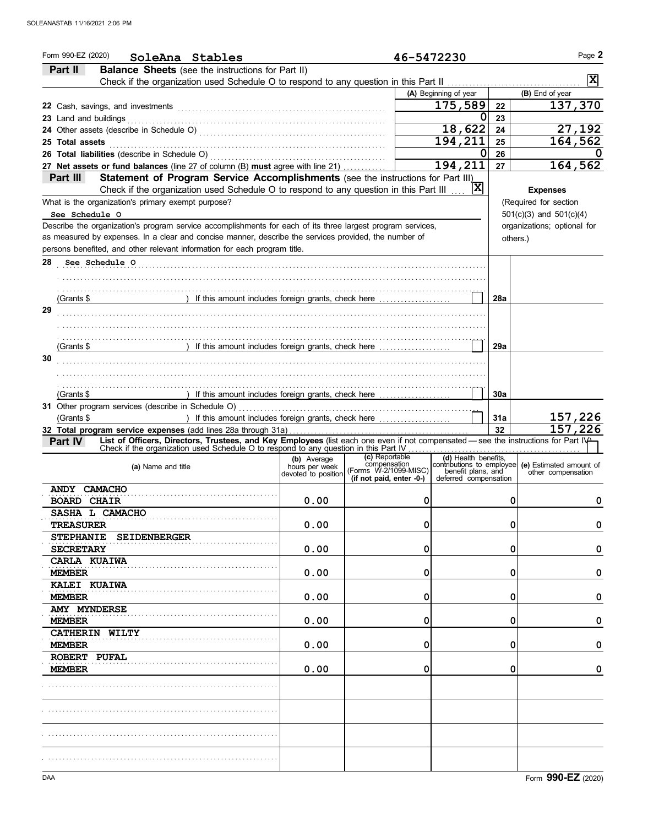| Form 990-EZ (2020)<br>SoleAna Stables                                                                                                         |                               | 46-5472230                                        |                                             |     | Page 2                                                                    |
|-----------------------------------------------------------------------------------------------------------------------------------------------|-------------------------------|---------------------------------------------------|---------------------------------------------|-----|---------------------------------------------------------------------------|
| <b>Balance Sheets</b> (see the instructions for Part II)<br>Part II                                                                           |                               |                                                   |                                             |     |                                                                           |
|                                                                                                                                               |                               |                                                   |                                             |     | $\vert x \vert$                                                           |
|                                                                                                                                               |                               |                                                   | (A) Beginning of year                       |     | (B) End of year                                                           |
|                                                                                                                                               |                               |                                                   | 175,589                                     | 22  | 137,370                                                                   |
| 23 Land and buildings                                                                                                                         |                               |                                                   | 0                                           | 23  |                                                                           |
|                                                                                                                                               |                               |                                                   | 18,622                                      | 24  | 27,192                                                                    |
| 25 Total assets                                                                                                                               |                               |                                                   | 194,211                                     | 25  | 164,562                                                                   |
|                                                                                                                                               |                               |                                                   | Ω                                           | 26  |                                                                           |
| 27 Net assets or fund balances (line 27 of column (B) must agree with line 21)                                                                |                               |                                                   | 194,211                                     | 27  | 164,562                                                                   |
| Statement of Program Service Accomplishments (see the instructions for Part III)<br>Part III                                                  |                               |                                                   |                                             |     |                                                                           |
| Check if the organization used Schedule O to respond to any question in this Part III                                                         |                               |                                                   | X                                           |     | <b>Expenses</b>                                                           |
| What is the organization's primary exempt purpose?                                                                                            |                               |                                                   |                                             |     | (Required for section                                                     |
| See Schedule O                                                                                                                                |                               |                                                   |                                             |     | $501(c)(3)$ and $501(c)(4)$                                               |
| Describe the organization's program service accomplishments for each of its three largest program services,                                   |                               |                                                   |                                             |     | organizations; optional for                                               |
| as measured by expenses. In a clear and concise manner, describe the services provided, the number of                                         |                               |                                                   |                                             |     | others.)                                                                  |
| persons benefited, and other relevant information for each program title.                                                                     |                               |                                                   |                                             |     |                                                                           |
| 28<br>See Schedule O                                                                                                                          |                               |                                                   |                                             |     |                                                                           |
|                                                                                                                                               |                               |                                                   |                                             |     |                                                                           |
|                                                                                                                                               |                               |                                                   |                                             |     |                                                                           |
| ) If this amount includes foreign grants, check here<br>(Grants \$                                                                            |                               |                                                   |                                             | 28a |                                                                           |
| 29                                                                                                                                            |                               |                                                   |                                             |     |                                                                           |
|                                                                                                                                               |                               |                                                   |                                             |     |                                                                           |
|                                                                                                                                               |                               |                                                   |                                             |     |                                                                           |
| (Grants \$                                                                                                                                    |                               |                                                   |                                             | 29a |                                                                           |
| 30                                                                                                                                            |                               |                                                   |                                             |     |                                                                           |
|                                                                                                                                               |                               |                                                   |                                             |     |                                                                           |
|                                                                                                                                               |                               |                                                   |                                             |     |                                                                           |
| (Grants \$                                                                                                                                    |                               |                                                   |                                             | 30a |                                                                           |
|                                                                                                                                               |                               |                                                   |                                             |     |                                                                           |
| ) If this amount includes foreign grants, check here<br>(Grants \$                                                                            |                               |                                                   |                                             | 31a | 157,226                                                                   |
|                                                                                                                                               |                               |                                                   |                                             |     |                                                                           |
|                                                                                                                                               |                               |                                                   |                                             | 32  | 157,226                                                                   |
| List of Officers, Directors, Trustees, and Key Employees (list each one even if not compensated — see the instructions for Part IV<br>Part IV |                               |                                                   |                                             |     |                                                                           |
| Check if the organization used Schedule O to respond to any question in this Part IV                                                          |                               | (c) Reportable                                    |                                             |     |                                                                           |
| (a) Name and title                                                                                                                            | (b) Average<br>hours per week | compensation                                      |                                             |     | (d) Health benefits,<br>contributions to employee (e) Estimated amount of |
|                                                                                                                                               | devoted to position           | (Forms W-2/1099-MISC)<br>(if not paid, enter -0-) | benefit plans, and<br>deferred compensation |     | other compensation                                                        |
| ANDY CAMACHO                                                                                                                                  |                               |                                                   |                                             |     |                                                                           |
| <b>BOARD CHAIR</b>                                                                                                                            | 0.00                          | $\Omega$                                          |                                             | 0   | 0                                                                         |
| SASHA L CAMACHO                                                                                                                               |                               |                                                   |                                             |     |                                                                           |
| <b>TREASURER</b>                                                                                                                              | 0.00                          | 0                                                 |                                             | 0   | 0                                                                         |
| <b>STEPHANIE</b><br><b>SEIDENBERGER</b>                                                                                                       |                               |                                                   |                                             |     |                                                                           |
| <b>SECRETARY</b>                                                                                                                              | 0.00                          | 0                                                 |                                             | 0   | 0                                                                         |
| <b>CARLA KUAIWA</b>                                                                                                                           |                               |                                                   |                                             |     |                                                                           |
| <b>MEMBER</b>                                                                                                                                 | 0.00                          | 0                                                 |                                             | 0   | 0                                                                         |
| KALEI KUAIWA                                                                                                                                  |                               |                                                   |                                             |     |                                                                           |
| <b>MEMBER</b>                                                                                                                                 | 0.00                          | 0                                                 |                                             | 0   | 0                                                                         |
| <b>AMY MYNDERSE</b>                                                                                                                           |                               |                                                   |                                             |     |                                                                           |
| <b>MEMBER</b>                                                                                                                                 | 0.00                          | 0                                                 |                                             | 0   | 0                                                                         |
| CATHERIN WILTY                                                                                                                                |                               |                                                   |                                             |     |                                                                           |
| <b>MEMBER</b>                                                                                                                                 | 0.00                          | 0                                                 |                                             | 0   | 0                                                                         |
| ROBERT PUFAL                                                                                                                                  |                               |                                                   |                                             |     |                                                                           |
| <b>MEMBER</b>                                                                                                                                 | 0.00                          | 0                                                 |                                             | 0   | 0                                                                         |
|                                                                                                                                               |                               |                                                   |                                             |     |                                                                           |
|                                                                                                                                               |                               |                                                   |                                             |     |                                                                           |
|                                                                                                                                               |                               |                                                   |                                             |     |                                                                           |
|                                                                                                                                               |                               |                                                   |                                             |     |                                                                           |
|                                                                                                                                               |                               |                                                   |                                             |     |                                                                           |
|                                                                                                                                               |                               |                                                   |                                             |     |                                                                           |
|                                                                                                                                               |                               |                                                   |                                             |     |                                                                           |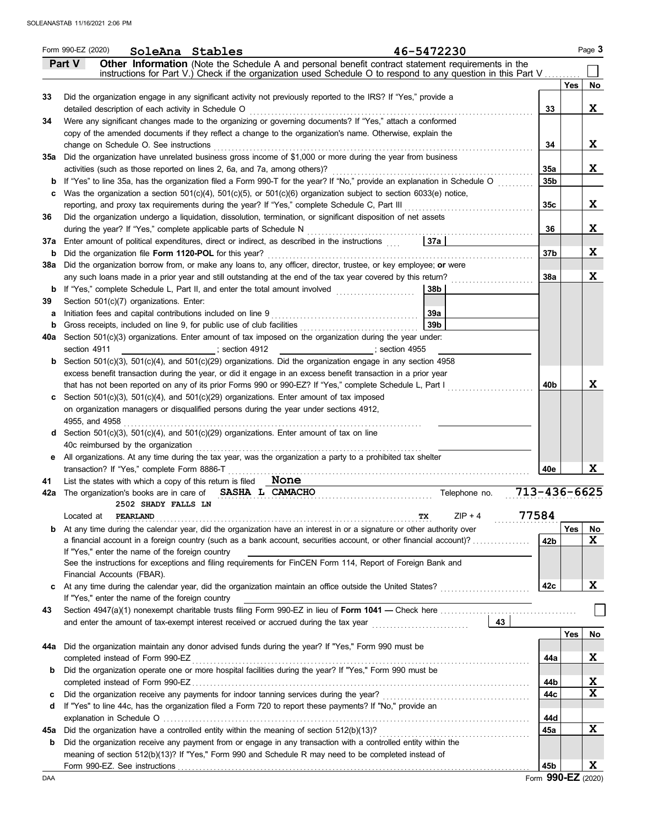|     | Form 990-EZ (2020) | SoleAna Stables                                           |                                                                             | 46-5472230                                                                                                                                                                                                                 |                 |     | Page 3      |
|-----|--------------------|-----------------------------------------------------------|-----------------------------------------------------------------------------|----------------------------------------------------------------------------------------------------------------------------------------------------------------------------------------------------------------------------|-----------------|-----|-------------|
|     | Part V             |                                                           |                                                                             | Other Information (Note the Schedule A and personal benefit contract statement requirements in the                                                                                                                         |                 |     |             |
|     |                    |                                                           |                                                                             | instructions for Part V.) Check if the organization used Schedule O to respond to any question in this Part V                                                                                                              |                 | Yes |             |
| 33  |                    |                                                           |                                                                             | Did the organization engage in any significant activity not previously reported to the IRS? If "Yes," provide a                                                                                                            |                 |     | No          |
|     |                    | detailed description of each activity in Schedule O       |                                                                             |                                                                                                                                                                                                                            | 33              |     | X           |
| 34  |                    |                                                           |                                                                             | Were any significant changes made to the organizing or governing documents? If "Yes," attach a conformed                                                                                                                   |                 |     |             |
|     |                    |                                                           |                                                                             | copy of the amended documents if they reflect a change to the organization's name. Otherwise, explain the                                                                                                                  |                 |     |             |
|     |                    | change on Schedule O. See instructions                    |                                                                             |                                                                                                                                                                                                                            | 34              |     | X           |
| 35a |                    |                                                           |                                                                             | Did the organization have unrelated business gross income of \$1,000 or more during the year from business                                                                                                                 |                 |     |             |
|     |                    |                                                           | activities (such as those reported on lines 2, 6a, and 7a, among others)?   |                                                                                                                                                                                                                            | <b>35a</b>      |     | X           |
| b   |                    |                                                           |                                                                             | If "Yes" to line 35a, has the organization filed a Form 990-T for the year? If "No," provide an explanation in Schedule O                                                                                                  | 35b             |     |             |
| с   |                    |                                                           |                                                                             | Was the organization a section $501(c)(4)$ , $501(c)(5)$ , or $501(c)(6)$ organization subject to section $6033(e)$ notice,                                                                                                |                 |     |             |
|     |                    |                                                           |                                                                             | reporting, and proxy tax requirements during the year? If "Yes," complete Schedule C, Part III                                                                                                                             | 35c             |     | X           |
| 36  |                    |                                                           |                                                                             | Did the organization undergo a liquidation, dissolution, termination, or significant disposition of net assets                                                                                                             |                 |     |             |
|     |                    |                                                           | during the year? If "Yes," complete applicable parts of Schedule N          |                                                                                                                                                                                                                            | 36              |     | X           |
| 37a |                    |                                                           |                                                                             | Enter amount of political expenditures, direct or indirect, as described in the instructions<br>37а                                                                                                                        |                 |     |             |
| b   |                    |                                                           | Did the organization file Form 1120-POL for this year?                      |                                                                                                                                                                                                                            | 37 <sub>b</sub> |     | X           |
| 38a |                    |                                                           |                                                                             | Did the organization borrow from, or make any loans to, any officer, director, trustee, or key employee; or were                                                                                                           |                 |     |             |
|     |                    |                                                           |                                                                             | any such loans made in a prior year and still outstanding at the end of the tax year covered by this return?                                                                                                               | <b>38a</b>      |     | X           |
| b   |                    |                                                           | If "Yes," complete Schedule L, Part II, and enter the total amount involved | 38b                                                                                                                                                                                                                        |                 |     |             |
| 39  |                    | Section 501(c)(7) organizations. Enter:                   |                                                                             |                                                                                                                                                                                                                            |                 |     |             |
| а   |                    |                                                           | Initiation fees and capital contributions included on line 9                | 39a                                                                                                                                                                                                                        |                 |     |             |
| b   |                    |                                                           | Gross receipts, included on line 9, for public use of club facilities       | 39 <sub>b</sub>                                                                                                                                                                                                            |                 |     |             |
| 40a |                    |                                                           |                                                                             | Section 501(c)(3) organizations. Enter amount of tax imposed on the organization during the year under:                                                                                                                    |                 |     |             |
|     | section 4911       |                                                           | ;section 4912                                                               | section 4955 :                                                                                                                                                                                                             |                 |     |             |
| b   |                    |                                                           |                                                                             | Section 501(c)(3), 501(c)(4), and 501(c)(29) organizations. Did the organization engage in any section 4958                                                                                                                |                 |     |             |
|     |                    |                                                           |                                                                             | excess benefit transaction during the year, or did it engage in an excess benefit transaction in a prior year<br>that has not been reported on any of its prior Forms 990 or 990-EZ? If "Yes," complete Schedule L, Part I | 40b             |     | X           |
|     |                    |                                                           |                                                                             | Section $501(c)(3)$ , $501(c)(4)$ , and $501(c)(29)$ organizations. Enter amount of tax imposed                                                                                                                            |                 |     |             |
| c   |                    |                                                           |                                                                             | on organization managers or disqualified persons during the year under sections 4912,                                                                                                                                      |                 |     |             |
|     | 4955, and 4958     |                                                           |                                                                             |                                                                                                                                                                                                                            |                 |     |             |
| d   |                    |                                                           |                                                                             | Section $501(c)(3)$ , $501(c)(4)$ , and $501(c)(29)$ organizations. Enter amount of tax on line                                                                                                                            |                 |     |             |
|     |                    | 40c reimbursed by the organization                        |                                                                             |                                                                                                                                                                                                                            |                 |     |             |
| е   |                    |                                                           |                                                                             | All organizations. At any time during the tax year, was the organization a party to a prohibited tax shelter                                                                                                               |                 |     |             |
|     |                    | transaction? If "Yes," complete Form 8886-T               |                                                                             |                                                                                                                                                                                                                            | 40e             |     | x           |
| 41  |                    | List the states with which a copy of this return is filed |                                                                             | None                                                                                                                                                                                                                       |                 |     |             |
|     |                    |                                                           |                                                                             | 713-436-6625<br>42a The organization's books are in care of SASHA L CAMACHO<br>Telephone no.                                                                                                                               |                 |     |             |
|     |                    | 2502 SHADY FALLS LN                                       |                                                                             |                                                                                                                                                                                                                            |                 |     |             |
|     | Located at         | PEARLAND                                                  |                                                                             | 77584<br>$ZIP + 4$<br>TХ                                                                                                                                                                                                   |                 |     |             |
| b   |                    |                                                           |                                                                             | At any time during the calendar year, did the organization have an interest in or a signature or other authority over                                                                                                      |                 | Yes | No          |
|     |                    |                                                           |                                                                             | a financial account in a foreign country (such as a bank account, securities account, or other financial account)?                                                                                                         | 42b             |     | X           |
|     |                    | If "Yes," enter the name of the foreign country           |                                                                             |                                                                                                                                                                                                                            |                 |     |             |
|     |                    |                                                           |                                                                             | See the instructions for exceptions and filing requirements for FinCEN Form 114, Report of Foreign Bank and                                                                                                                |                 |     |             |
|     |                    | Financial Accounts (FBAR).                                |                                                                             |                                                                                                                                                                                                                            |                 |     |             |
|     |                    |                                                           |                                                                             | At any time during the calendar year, did the organization maintain an office outside the United States?                                                                                                                   | 42c             |     | X           |
|     |                    | If "Yes," enter the name of the foreign country           |                                                                             |                                                                                                                                                                                                                            |                 |     |             |
| 43  |                    |                                                           |                                                                             | and enter the amount of tax-exempt interest received or accrued during the tax year [[[[[[[[[[[[[[[[[[[[[[[[[<br>43                                                                                                        |                 |     |             |
|     |                    |                                                           |                                                                             |                                                                                                                                                                                                                            |                 | Yes |             |
| 44a |                    |                                                           |                                                                             | Did the organization maintain any donor advised funds during the year? If "Yes," Form 990 must be                                                                                                                          |                 |     | No          |
|     |                    | completed instead of Form 990-EZ                          |                                                                             |                                                                                                                                                                                                                            | 44a             |     | X           |
| b   |                    |                                                           |                                                                             | Did the organization operate one or more hospital facilities during the year? If "Yes," Form 990 must be                                                                                                                   |                 |     |             |
|     |                    |                                                           |                                                                             |                                                                                                                                                                                                                            | 44b             |     | X           |
| c   |                    |                                                           |                                                                             |                                                                                                                                                                                                                            | 44c             |     | $\mathbf x$ |
| d   |                    |                                                           |                                                                             | If "Yes" to line 44c, has the organization filed a Form 720 to report these payments? If "No," provide an                                                                                                                  |                 |     |             |
|     |                    |                                                           |                                                                             |                                                                                                                                                                                                                            | 44d             |     |             |
| 45а |                    |                                                           |                                                                             | Did the organization have a controlled entity within the meaning of section 512(b)(13)?                                                                                                                                    | 45a             |     | X           |
| b   |                    |                                                           |                                                                             | Did the organization receive any payment from or engage in any transaction with a controlled entity within the                                                                                                             |                 |     |             |
|     |                    |                                                           |                                                                             | meaning of section 512(b)(13)? If "Yes," Form 990 and Schedule R may need to be completed instead of                                                                                                                       |                 |     |             |
|     |                    |                                                           |                                                                             |                                                                                                                                                                                                                            | 45b             |     | X           |

Form **990-EZ** (2020)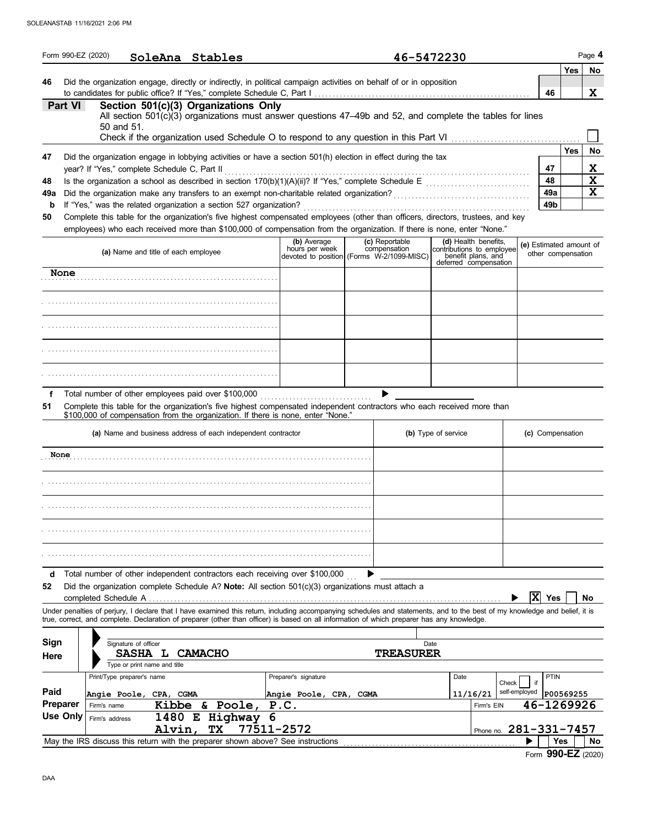|                 | Form 990-EZ (2020)          |                               |                                                                 | SoleAna Stables                                                                                                                                                                                                                                                                                                                   |                                                                            |      | 46-5472230                     |                     |                                                                                                  |                         |                          | Page 4                                |
|-----------------|-----------------------------|-------------------------------|-----------------------------------------------------------------|-----------------------------------------------------------------------------------------------------------------------------------------------------------------------------------------------------------------------------------------------------------------------------------------------------------------------------------|----------------------------------------------------------------------------|------|--------------------------------|---------------------|--------------------------------------------------------------------------------------------------|-------------------------|--------------------------|---------------------------------------|
| 46              |                             |                               |                                                                 | Did the organization engage, directly or indirectly, in political campaign activities on behalf of or in opposition                                                                                                                                                                                                               |                                                                            |      |                                |                     |                                                                                                  |                         | Yes<br>46                | No<br>X                               |
|                 | Part VI                     |                               | 50 and 51.                                                      | Section 501(c)(3) Organizations Only<br>All section 501(c)(3) organizations must answer questions 47–49b and 52, and complete the tables for lines                                                                                                                                                                                |                                                                            |      |                                |                     |                                                                                                  |                         |                          |                                       |
| 47<br>48<br>49a |                             |                               | year? If "Yes," complete Schedule C, Part II                    | Did the organization engage in lobbying activities or have a section 501(h) election in effect during the tax                                                                                                                                                                                                                     |                                                                            |      |                                |                     |                                                                                                  |                         | Yes<br>47<br>48<br>49a   | No<br>X<br>$\mathbf x$<br>$\mathbf x$ |
| b<br>50         |                             |                               |                                                                 | If "Yes," was the related organization a section 527 organization?<br>Complete this table for the organization's five highest compensated employees (other than officers, directors, trustees, and key<br>employees) who each received more than \$100,000 of compensation from the organization. If there is none, enter "None." |                                                                            |      |                                |                     |                                                                                                  |                         | 49 <sub>b</sub>          |                                       |
|                 |                             |                               | (a) Name and title of each employee                             |                                                                                                                                                                                                                                                                                                                                   | (b) Average<br>hours per week<br>devoted to position (Forms W-2/1099-MISC) |      | (c) Reportable<br>compensation |                     | (d) Health benefits,<br>contributions to employee<br>benefit plans, and<br>deferred compensation | (e) Estimated amount of | other compensation       |                                       |
|                 | None                        |                               |                                                                 |                                                                                                                                                                                                                                                                                                                                   |                                                                            |      |                                |                     |                                                                                                  |                         |                          |                                       |
|                 |                             |                               |                                                                 |                                                                                                                                                                                                                                                                                                                                   |                                                                            |      |                                |                     |                                                                                                  |                         |                          |                                       |
|                 |                             |                               |                                                                 |                                                                                                                                                                                                                                                                                                                                   |                                                                            |      |                                |                     |                                                                                                  |                         |                          |                                       |
|                 |                             |                               |                                                                 |                                                                                                                                                                                                                                                                                                                                   |                                                                            |      |                                |                     |                                                                                                  |                         |                          |                                       |
|                 |                             |                               |                                                                 |                                                                                                                                                                                                                                                                                                                                   |                                                                            |      |                                |                     |                                                                                                  |                         |                          |                                       |
| f<br>51         |                             |                               |                                                                 | Total number of other employees paid over \$100,000<br>Complete this table for the organization's five highest compensated independent contractors who each received more than<br>\$100,000 of compensation from the organization. If there is none, enter "None."                                                                |                                                                            |      |                                |                     |                                                                                                  |                         |                          |                                       |
|                 |                             |                               |                                                                 | (a) Name and business address of each independent contractor                                                                                                                                                                                                                                                                      |                                                                            |      |                                | (b) Type of service |                                                                                                  | (c) Compensation        |                          |                                       |
|                 | None                        |                               |                                                                 |                                                                                                                                                                                                                                                                                                                                   |                                                                            |      |                                |                     |                                                                                                  |                         |                          |                                       |
|                 |                             |                               |                                                                 |                                                                                                                                                                                                                                                                                                                                   |                                                                            |      |                                |                     |                                                                                                  |                         |                          |                                       |
|                 |                             |                               |                                                                 |                                                                                                                                                                                                                                                                                                                                   |                                                                            |      |                                |                     |                                                                                                  |                         |                          |                                       |
|                 |                             |                               |                                                                 |                                                                                                                                                                                                                                                                                                                                   |                                                                            |      |                                |                     |                                                                                                  |                         |                          |                                       |
|                 |                             |                               |                                                                 |                                                                                                                                                                                                                                                                                                                                   |                                                                            |      |                                |                     |                                                                                                  |                         |                          |                                       |
| d<br>52         |                             |                               | completed Schedule A                                            | Total number of other independent contractors each receiving over \$100,000<br>Did the organization complete Schedule A? Note: All section 501(c)(3) organizations must attach a                                                                                                                                                  |                                                                            |      |                                |                     |                                                                                                  | X                       | Yes                      | No                                    |
|                 |                             |                               |                                                                 | Under penalties of perjury, I declare that I have examined this return, including accompanying schedules and statements, and to the best of my knowledge and belief, it is<br>true, correct, and complete. Declaration of preparer (other than officer) is based on all information of which preparer has any knowledge.          |                                                                            |      |                                |                     |                                                                                                  |                         |                          |                                       |
| Sign<br>Here    |                             |                               | Signature of officer<br>SASHA L<br>Type or print name and title | <b>CAMACHO</b>                                                                                                                                                                                                                                                                                                                    |                                                                            |      | Date<br><b>TREASURER</b>       |                     |                                                                                                  |                         |                          |                                       |
| Paid            |                             |                               | Print/Type preparer's name<br>Angie Poole, CPA, CGMA            |                                                                                                                                                                                                                                                                                                                                   | Preparer's signature<br>Angie Poole, CPA,                                  | CGMA |                                | Date                | Check<br>11/16/21                                                                                | if<br>self-employed     | <b>PTIN</b><br>P00569255 |                                       |
|                 | <b>Preparer</b><br>Use Only | Firm's name<br>Firm's address | Alvin                                                           | Kibbe & Poole,<br>1480 E Highway<br>6<br>77511-2572<br>TХ                                                                                                                                                                                                                                                                         | P.C.                                                                       |      |                                |                     | Firm's EIN<br>Phone no. 281-331-7457                                                             | 46-1269926              |                          |                                       |
|                 |                             |                               |                                                                 | May the IRS discuss this return with the preparer shown above? See instructions                                                                                                                                                                                                                                                   |                                                                            |      |                                |                     |                                                                                                  |                         | Yes                      | No                                    |

Form **990-EZ** (2020)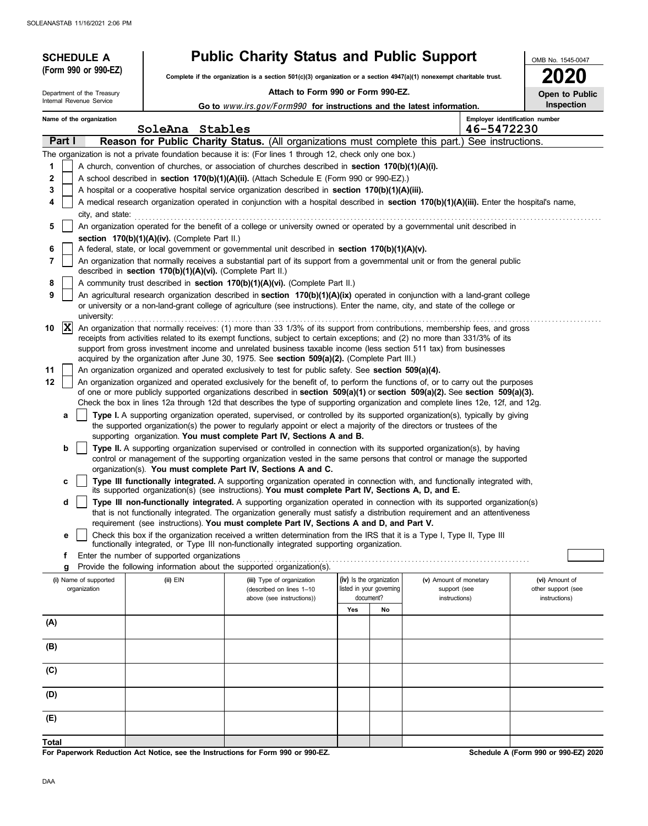| <b>SCHEDULE A</b>                     |                                                            | <b>Public Charity Status and Public Support</b>                                                                                                                                                                                                                                                                                                                                 |                                                                   |    |                                                         | OMB No. 1545-0047                                     |  |
|---------------------------------------|------------------------------------------------------------|---------------------------------------------------------------------------------------------------------------------------------------------------------------------------------------------------------------------------------------------------------------------------------------------------------------------------------------------------------------------------------|-------------------------------------------------------------------|----|---------------------------------------------------------|-------------------------------------------------------|--|
| (Form 990 or 990-EZ)                  |                                                            | Complete if the organization is a section 501(c)(3) organization or a section 4947(a)(1) nonexempt charitable trust.                                                                                                                                                                                                                                                            |                                                                   |    |                                                         |                                                       |  |
| Department of the Treasury            |                                                            |                                                                                                                                                                                                                                                                                                                                                                                 | Attach to Form 990 or Form 990-EZ.                                |    |                                                         |                                                       |  |
| Internal Revenue Service              |                                                            | Go to www.irs.gov/Form990 for instructions and the latest information.                                                                                                                                                                                                                                                                                                          |                                                                   |    |                                                         | Open to Public<br><b>Inspection</b>                   |  |
| Name of the organization              | SoleAna Stables                                            |                                                                                                                                                                                                                                                                                                                                                                                 |                                                                   |    | 46-5472230                                              | Employer identification number                        |  |
| Part I                                |                                                            | Reason for Public Charity Status. (All organizations must complete this part.) See instructions.                                                                                                                                                                                                                                                                                |                                                                   |    |                                                         |                                                       |  |
|                                       |                                                            | The organization is not a private foundation because it is: (For lines 1 through 12, check only one box.)                                                                                                                                                                                                                                                                       |                                                                   |    |                                                         |                                                       |  |
| 1                                     |                                                            | A church, convention of churches, or association of churches described in section 170(b)(1)(A)(i).                                                                                                                                                                                                                                                                              |                                                                   |    |                                                         |                                                       |  |
| $\mathbf{2}$                          |                                                            | A school described in <b>section 170(b)(1)(A)(ii).</b> (Attach Schedule E (Form 990 or 990-EZ).)                                                                                                                                                                                                                                                                                |                                                                   |    |                                                         |                                                       |  |
| 3<br>4                                |                                                            | A hospital or a cooperative hospital service organization described in section $170(b)(1)(A)(iii)$ .                                                                                                                                                                                                                                                                            |                                                                   |    |                                                         |                                                       |  |
| city, and state:                      |                                                            | A medical research organization operated in conjunction with a hospital described in section 170(b)(1)(A)(iii). Enter the hospital's name,                                                                                                                                                                                                                                      |                                                                   |    |                                                         |                                                       |  |
| 5                                     |                                                            | An organization operated for the benefit of a college or university owned or operated by a governmental unit described in                                                                                                                                                                                                                                                       |                                                                   |    |                                                         |                                                       |  |
|                                       | section 170(b)(1)(A)(iv). (Complete Part II.)              |                                                                                                                                                                                                                                                                                                                                                                                 |                                                                   |    |                                                         |                                                       |  |
| 6                                     |                                                            | A federal, state, or local government or governmental unit described in section 170(b)(1)(A)(v).                                                                                                                                                                                                                                                                                |                                                                   |    |                                                         |                                                       |  |
| 7                                     | described in section 170(b)(1)(A)(vi). (Complete Part II.) | An organization that normally receives a substantial part of its support from a governmental unit or from the general public                                                                                                                                                                                                                                                    |                                                                   |    |                                                         |                                                       |  |
| 8                                     |                                                            | A community trust described in section 170(b)(1)(A)(vi). (Complete Part II.)                                                                                                                                                                                                                                                                                                    |                                                                   |    |                                                         |                                                       |  |
| 9<br>university:                      |                                                            | An agricultural research organization described in section $170(b)(1)(A)(ix)$ operated in conjunction with a land-grant college<br>or university or a non-land-grant college of agriculture (see instructions). Enter the name, city, and state of the college or                                                                                                               |                                                                   |    |                                                         |                                                       |  |
| $ \mathbf{x} $<br>10                  |                                                            | An organization that normally receives: (1) more than 33 1/3% of its support from contributions, membership fees, and gross<br>receipts from activities related to its exempt functions, subject to certain exceptions; and (2) no more than 331/3% of its<br>support from gross investment income and unrelated business taxable income (less section 511 tax) from businesses |                                                                   |    |                                                         |                                                       |  |
|                                       |                                                            | acquired by the organization after June 30, 1975. See section 509(a)(2). (Complete Part III.)                                                                                                                                                                                                                                                                                   |                                                                   |    |                                                         |                                                       |  |
| 11<br>12                              |                                                            | An organization organized and operated exclusively to test for public safety. See section 509(a)(4).<br>An organization organized and operated exclusively for the benefit of, to perform the functions of, or to carry out the purposes                                                                                                                                        |                                                                   |    |                                                         |                                                       |  |
|                                       |                                                            | of one or more publicly supported organizations described in section 509(a)(1) or section 509(a)(2). See section 509(a)(3).                                                                                                                                                                                                                                                     |                                                                   |    |                                                         |                                                       |  |
| a                                     |                                                            | Check the box in lines 12a through 12d that describes the type of supporting organization and complete lines 12e, 12f, and 12g.<br>Type I. A supporting organization operated, supervised, or controlled by its supported organization(s), typically by giving                                                                                                                  |                                                                   |    |                                                         |                                                       |  |
|                                       |                                                            | the supported organization(s) the power to regularly appoint or elect a majority of the directors or trustees of the                                                                                                                                                                                                                                                            |                                                                   |    |                                                         |                                                       |  |
|                                       |                                                            | supporting organization. You must complete Part IV, Sections A and B.                                                                                                                                                                                                                                                                                                           |                                                                   |    |                                                         |                                                       |  |
| b                                     |                                                            | Type II. A supporting organization supervised or controlled in connection with its supported organization(s), by having<br>control or management of the supporting organization vested in the same persons that control or manage the supported<br>organization(s). You must complete Part IV, Sections A and C.                                                                |                                                                   |    |                                                         |                                                       |  |
| c                                     |                                                            | Type III functionally integrated. A supporting organization operated in connection with, and functionally integrated with,<br>its supported organization(s) (see instructions). You must complete Part IV, Sections A, D, and E.                                                                                                                                                |                                                                   |    |                                                         |                                                       |  |
| d                                     |                                                            | Type III non-functionally integrated. A supporting organization operated in connection with its supported organization(s)<br>that is not functionally integrated. The organization generally must satisfy a distribution reguirement and an attentiveness                                                                                                                       |                                                                   |    |                                                         |                                                       |  |
| е                                     |                                                            | requirement (see instructions). You must complete Part IV, Sections A and D, and Part V.<br>Check this box if the organization received a written determination from the IRS that it is a Type I, Type II, Type III                                                                                                                                                             |                                                                   |    |                                                         |                                                       |  |
|                                       |                                                            | functionally integrated, or Type III non-functionally integrated supporting organization.                                                                                                                                                                                                                                                                                       |                                                                   |    |                                                         |                                                       |  |
| f                                     | Enter the number of supported organizations                |                                                                                                                                                                                                                                                                                                                                                                                 |                                                                   |    |                                                         |                                                       |  |
| g                                     |                                                            | Provide the following information about the supported organization(s).                                                                                                                                                                                                                                                                                                          |                                                                   |    |                                                         |                                                       |  |
| (i) Name of supported<br>organization | $(ii)$ EIN                                                 | (iii) Type of organization<br>(described on lines 1-10<br>above (see instructions))                                                                                                                                                                                                                                                                                             | (iv) Is the organization<br>listed in your governing<br>document? |    | (v) Amount of monetary<br>support (see<br>instructions) | (vi) Amount of<br>other support (see<br>instructions) |  |
|                                       |                                                            |                                                                                                                                                                                                                                                                                                                                                                                 | Yes                                                               | No |                                                         |                                                       |  |
| (A)                                   |                                                            |                                                                                                                                                                                                                                                                                                                                                                                 |                                                                   |    |                                                         |                                                       |  |
| (B)                                   |                                                            |                                                                                                                                                                                                                                                                                                                                                                                 |                                                                   |    |                                                         |                                                       |  |
| (C)                                   |                                                            |                                                                                                                                                                                                                                                                                                                                                                                 |                                                                   |    |                                                         |                                                       |  |
| (D)                                   |                                                            |                                                                                                                                                                                                                                                                                                                                                                                 |                                                                   |    |                                                         |                                                       |  |
| (E)                                   |                                                            |                                                                                                                                                                                                                                                                                                                                                                                 |                                                                   |    |                                                         |                                                       |  |
| <b>Total</b>                          |                                                            | For Paperwork Reduction Act Notice, see the Instructions for Form 990 or 990-EZ.                                                                                                                                                                                                                                                                                                |                                                                   |    |                                                         | Schedule A (Form 990 or 990-EZ) 2020                  |  |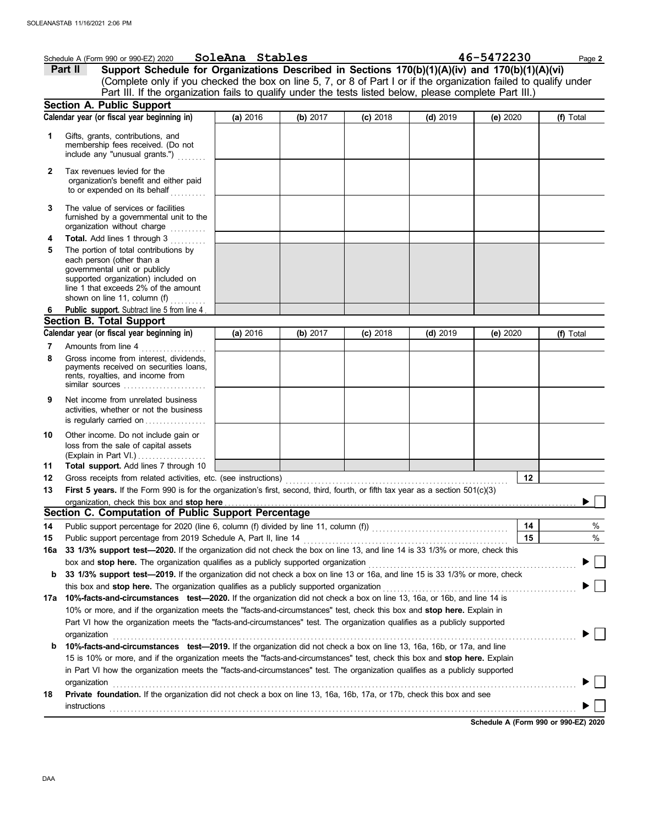|              | Schedule A (Form 990 or 990-EZ) 2020                                                                                                                                                                                                                 | SoleAna Stables |          |            |            | 46-5472230 | Page 2    |
|--------------|------------------------------------------------------------------------------------------------------------------------------------------------------------------------------------------------------------------------------------------------------|-----------------|----------|------------|------------|------------|-----------|
|              | Support Schedule for Organizations Described in Sections 170(b)(1)(A)(iv) and 170(b)(1)(A)(vi)<br>Part II                                                                                                                                            |                 |          |            |            |            |           |
|              | (Complete only if you checked the box on line 5, 7, or 8 of Part I or if the organization failed to qualify under                                                                                                                                    |                 |          |            |            |            |           |
|              | Part III. If the organization fails to qualify under the tests listed below, please complete Part III.)                                                                                                                                              |                 |          |            |            |            |           |
|              | <b>Section A. Public Support</b>                                                                                                                                                                                                                     |                 |          |            |            |            |           |
|              | Calendar year (or fiscal year beginning in)                                                                                                                                                                                                          | (a) 2016        | (b) 2017 | $(c)$ 2018 | $(d)$ 2019 | (e) 2020   | (f) Total |
| 1            | Gifts, grants, contributions, and<br>membership fees received. (Do not<br>include any "unusual grants.")                                                                                                                                             |                 |          |            |            |            |           |
| $\mathbf{2}$ | Tax revenues levied for the<br>organization's benefit and either paid<br>to or expended on its behalf                                                                                                                                                |                 |          |            |            |            |           |
| 3            | The value of services or facilities<br>furnished by a governmental unit to the<br>organization without charge<br>.                                                                                                                                   |                 |          |            |            |            |           |
| 4            | Total. Add lines 1 through 3                                                                                                                                                                                                                         |                 |          |            |            |            |           |
| 5            | The portion of total contributions by<br>each person (other than a<br>governmental unit or publicly<br>supported organization) included on<br>line 1 that exceeds 2% of the amount<br>shown on line 11, column (f)<br>dia a dia a dia .              |                 |          |            |            |            |           |
| 6            | Public support. Subtract line 5 from line 4                                                                                                                                                                                                          |                 |          |            |            |            |           |
|              | <b>Section B. Total Support</b><br>Calendar year (or fiscal year beginning in)                                                                                                                                                                       | (a) 2016        |          |            |            |            |           |
| 7            | Amounts from line 4                                                                                                                                                                                                                                  |                 | (b) 2017 | $(c)$ 2018 | $(d)$ 2019 | (e) 2020   | (f) Total |
| 8            | .<br>Gross income from interest, dividends,<br>payments received on securities loans,<br>rents, royalties, and income from<br>similar sources $\ldots, \ldots, \ldots, \ldots, \ldots$                                                               |                 |          |            |            |            |           |
| 9            | Net income from unrelated business<br>activities, whether or not the business<br>is regularly carried on                                                                                                                                             |                 |          |            |            |            |           |
| 10<br>11     | Other income. Do not include gain or<br>loss from the sale of capital assets<br>(Explain in Part VI.)<br>Total support. Add lines 7 through 10                                                                                                       |                 |          |            |            |            |           |
| 12           |                                                                                                                                                                                                                                                      |                 |          |            |            | 12         |           |
| 13           | First 5 years. If the Form 990 is for the organization's first, second, third, fourth, or fifth tax year as a section 501(c)(3)                                                                                                                      |                 |          |            |            |            |           |
|              |                                                                                                                                                                                                                                                      |                 |          |            |            |            | ▶         |
|              | Section C. Computation of Public Support Percentage                                                                                                                                                                                                  |                 |          |            |            |            |           |
| 14           |                                                                                                                                                                                                                                                      |                 |          |            |            | 14         | %         |
| 15           | Public support percentage from 2019 Schedule A, Part II, line 14                                                                                                                                                                                     |                 |          |            |            | 15         | %         |
| 16a          | 33 1/3% support test-2020. If the organization did not check the box on line 13, and line 14 is 33 1/3% or more, check this                                                                                                                          |                 |          |            |            |            |           |
|              |                                                                                                                                                                                                                                                      |                 |          |            |            |            |           |
| b            | 33 1/3% support test-2019. If the organization did not check a box on line 13 or 16a, and line 15 is 33 1/3% or more, check<br>this box and stop here. The organization qualifies as a publicly supported organization                               |                 |          |            |            |            |           |
|              | 17a 10%-facts-and-circumstances test-2020. If the organization did not check a box on line 13, 16a, or 16b, and line 14 is                                                                                                                           |                 |          |            |            |            |           |
|              | 10% or more, and if the organization meets the "facts-and-circumstances" test, check this box and stop here. Explain in<br>Part VI how the organization meets the "facts-and-circumstances" test. The organization qualifies as a publicly supported |                 |          |            |            |            |           |
|              | organization                                                                                                                                                                                                                                         |                 |          |            |            |            |           |
| b            | 10%-facts-and-circumstances test-2019. If the organization did not check a box on line 13, 16a, 16b, or 17a, and line                                                                                                                                |                 |          |            |            |            |           |
|              | 15 is 10% or more, and if the organization meets the "facts-and-circumstances" test, check this box and stop here. Explain                                                                                                                           |                 |          |            |            |            |           |
|              | in Part VI how the organization meets the "facts-and-circumstances" test. The organization qualifies as a publicly supported                                                                                                                         |                 |          |            |            |            |           |
| 18           | organization<br><b>Private foundation.</b> If the organization did not check a box on line 13, 16a, 16b, 17a, or 17b, check this box and see                                                                                                         |                 |          |            |            |            |           |
|              | <b>instructions</b>                                                                                                                                                                                                                                  |                 |          |            |            |            |           |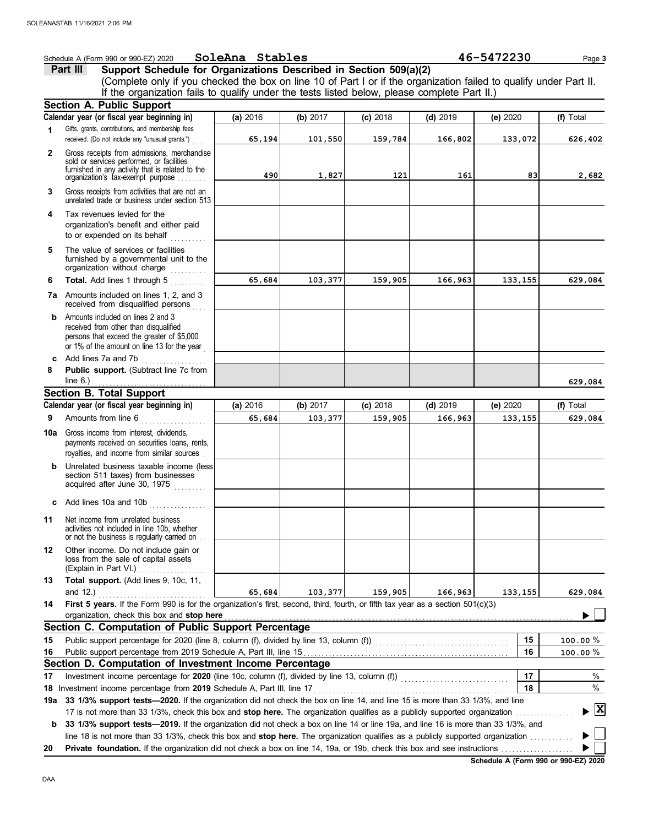|              | Schedule A (Form 990 or 990-EZ) 2020                                                                                                                                              | SoleAna Stables |          |            |            | 46-5472230 | Page 3         |
|--------------|-----------------------------------------------------------------------------------------------------------------------------------------------------------------------------------|-----------------|----------|------------|------------|------------|----------------|
|              | Support Schedule for Organizations Described in Section 509(a)(2)<br>Part III                                                                                                     |                 |          |            |            |            |                |
|              | (Complete only if you checked the box on line 10 of Part I or if the organization failed to qualify under Part II.                                                                |                 |          |            |            |            |                |
|              | If the organization fails to qualify under the tests listed below, please complete Part II.)                                                                                      |                 |          |            |            |            |                |
|              | Section A. Public Support                                                                                                                                                         |                 |          |            |            |            |                |
|              | Calendar year (or fiscal year beginning in)                                                                                                                                       | (a) 2016        | (b) 2017 | $(c)$ 2018 | $(d)$ 2019 | (e) 2020   | (f) Total      |
| 1            | Gifts, grants, contributions, and membership fees<br>received. (Do not include any "unusual grants.")                                                                             | 65,194          | 101,550  | 159,784    | 166,802    | 133,072    | 626,402        |
| $\mathbf{2}$ | Gross receipts from admissions, merchandise<br>sold or services performed, or facilities<br>furnished in any activity that is related to the<br>organization's fax-exempt purpose | 490             | 1,827    | 121        | 161        | 83         | 2,682          |
| 3            | Gross receipts from activities that are not an<br>unrelated trade or business under section 513                                                                                   |                 |          |            |            |            |                |
| 4            | Tax revenues levied for the<br>organization's benefit and either paid<br>to or expended on its behalf<br>.                                                                        |                 |          |            |            |            |                |
| 5            | The value of services or facilities<br>furnished by a governmental unit to the<br>organization without charge                                                                     |                 |          |            |            |            |                |
| 6            | Total. Add lines 1 through 5                                                                                                                                                      | 65,684          | 103,377  | 159,905    | 166,963    | 133,155    | 629,084        |
|              | 7a Amounts included on lines 1, 2, and 3<br>received from disqualified persons                                                                                                    |                 |          |            |            |            |                |
| b            | Amounts included on lines 2 and 3<br>received from other than disqualified<br>persons that exceed the greater of \$5,000<br>or 1% of the amount on line 13 for the year           |                 |          |            |            |            |                |
| c            | Add lines 7a and 7b                                                                                                                                                               |                 |          |            |            |            |                |
| 8            | Public support. (Subtract line 7c from<br>line $6.$ )                                                                                                                             |                 |          |            |            |            | 629,084        |
|              | <b>Section B. Total Support</b>                                                                                                                                                   |                 |          |            |            |            |                |
|              | Calendar year (or fiscal year beginning in)                                                                                                                                       | (a) 2016        | (b) 2017 | $(c)$ 2018 | $(d)$ 2019 | (e) 2020   | (f) Total      |
| 9            | Amounts from line 6<br>.                                                                                                                                                          | 65,684          | 103,377  | 159,905    | 166,963    | 133,155    | 629,084        |
| 10a          | Gross income from interest, dividends,<br>payments received on securities loans, rents,<br>royalties, and income from similar sources.                                            |                 |          |            |            |            |                |
|              | Unrelated business taxable income (less)<br>section 511 taxes) from businesses<br>acquired after June 30, 1975                                                                    |                 |          |            |            |            |                |
|              | Add lines 10a and 10b                                                                                                                                                             |                 |          |            |            |            |                |
| 11           | Net income from unrelated business<br>activities not included in line 10b, whether<br>or not the business is regularly carried on                                                 |                 |          |            |            |            |                |
| 12           | Other income. Do not include gain or<br>loss from the sale of capital assets<br>(Explain in Part VI.)                                                                             |                 |          |            |            |            |                |
| 13           | Total support. (Add lines 9, 10c, 11,<br>and $12.$ )                                                                                                                              | 65,684          | 103,377  | 159,905    | 166,963    | 133,155    | 629,084        |
| 14           | First 5 years. If the Form 990 is for the organization's first, second, third, fourth, or fifth tax year as a section 501(c)(3)<br>organization, check this box and stop here     |                 |          |            |            |            |                |
|              | Section C. Computation of Public Support Percentage                                                                                                                               |                 |          |            |            |            |                |
| 15           |                                                                                                                                                                                   |                 |          |            |            | 15         | $100.00 \%$    |
|              |                                                                                                                                                                                   |                 |          |            |            | 16         |                |
| 16           | Section D. Computation of Investment Income Percentage                                                                                                                            |                 |          |            |            |            | 100.00%        |
| 17           |                                                                                                                                                                                   |                 |          |            |            | 17         | %              |
|              | 18 Investment income percentage from 2019 Schedule A, Part III, line 17                                                                                                           |                 |          |            |            | 18         | %              |
| 19a          | 33 1/3% support tests-2020. If the organization did not check the box on line 14, and line 15 is more than 33 1/3%, and line                                                      |                 |          |            |            |            |                |
|              | 17 is not more than 33 1/3%, check this box and stop here. The organization qualifies as a publicly supported organization                                                        |                 |          |            |            |            | $ \mathbf{x} $ |
| b            | 33 1/3% support tests-2019. If the organization did not check a box on line 14 or line 19a, and line 16 is more than 33 1/3%, and                                                 |                 |          |            |            |            |                |
| 20           | line 18 is not more than 33 1/3%, check this box and stop here. The organization qualifies as a publicly supported organization                                                   |                 |          |            |            |            |                |
|              |                                                                                                                                                                                   |                 |          |            |            |            |                |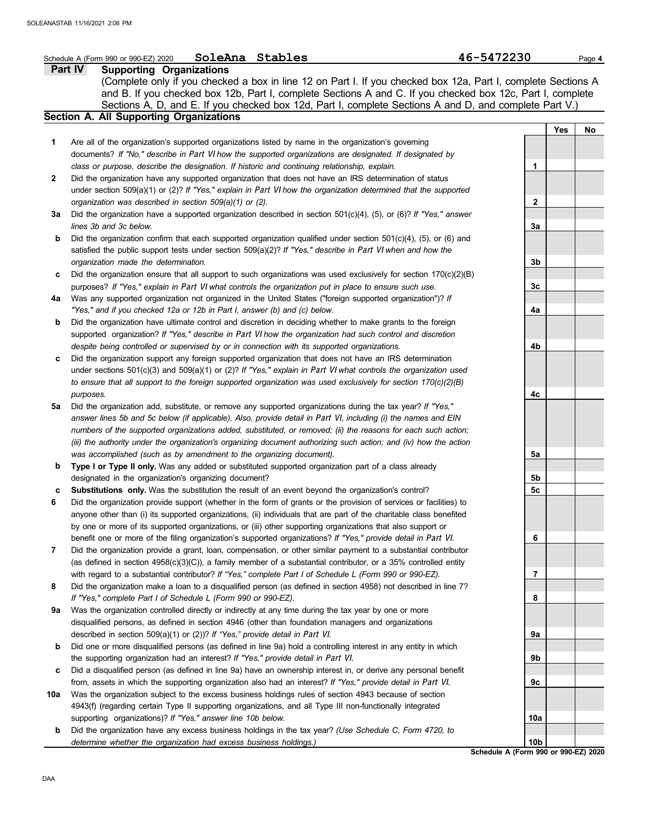|              | SoleAna Stables<br>Schedule A (Form 990 or 990-EZ) 2020                                                             | 46-5472230      | Page 4           |
|--------------|---------------------------------------------------------------------------------------------------------------------|-----------------|------------------|
|              | Part IV<br><b>Supporting Organizations</b>                                                                          |                 |                  |
|              | (Complete only if you checked a box in line 12 on Part I. If you checked box 12a, Part I, complete Sections A       |                 |                  |
|              | and B. If you checked box 12b, Part I, complete Sections A and C. If you checked box 12c, Part I, complete          |                 |                  |
|              | Sections A, D, and E. If you checked box 12d, Part I, complete Sections A and D, and complete Part V.)              |                 |                  |
|              | <b>Section A. All Supporting Organizations</b>                                                                      |                 |                  |
|              |                                                                                                                     |                 | <b>Yes</b><br>No |
| 1            | Are all of the organization's supported organizations listed by name in the organization's governing                |                 |                  |
|              |                                                                                                                     |                 |                  |
|              | documents? If "No," describe in Part VI how the supported organizations are designated. If designated by            |                 |                  |
|              | class or purpose, describe the designation. If historic and continuing relationship, explain.                       | 1               |                  |
| $\mathbf{2}$ | Did the organization have any supported organization that does not have an IRS determination of status              |                 |                  |
|              | under section 509(a)(1) or (2)? If "Yes," explain in Part VI how the organization determined that the supported     |                 |                  |
|              | organization was described in section 509(a)(1) or (2).                                                             | 2               |                  |
| За           | Did the organization have a supported organization described in section $501(c)(4)$ , (5), or (6)? If "Yes," answer |                 |                  |
|              | lines 3b and 3c below.                                                                                              | За              |                  |
| b            | Did the organization confirm that each supported organization qualified under section $501(c)(4)$ , (5), or (6) and |                 |                  |
|              | satisfied the public support tests under section 509(a)(2)? If "Yes," describe in Part VI when and how the          |                 |                  |
|              | organization made the determination.                                                                                | 3b              |                  |
| c            | Did the organization ensure that all support to such organizations was used exclusively for section $170(c)(2)(B)$  |                 |                  |
|              | purposes? If "Yes," explain in Part VI what controls the organization put in place to ensure such use.              | Зc              |                  |
| 4a           | Was any supported organization not organized in the United States ("foreign supported organization")? If            |                 |                  |
|              | "Yes," and if you checked 12a or 12b in Part I, answer (b) and (c) below.                                           | 4a              |                  |
| b            | Did the organization have ultimate control and discretion in deciding whether to make grants to the foreign         |                 |                  |
|              | supported organization? If "Yes," describe in Part VI how the organization had such control and discretion          |                 |                  |
|              | despite being controlled or supervised by or in connection with its supported organizations.                        | 4b              |                  |
|              |                                                                                                                     |                 |                  |
| c            | Did the organization support any foreign supported organization that does not have an IRS determination             |                 |                  |
|              | under sections $501(c)(3)$ and $509(a)(1)$ or (2)? If "Yes," explain in Part VI what controls the organization used |                 |                  |
|              | to ensure that all support to the foreign supported organization was used exclusively for section 170(c)(2)(B)      |                 |                  |
|              | purposes.                                                                                                           | 4с              |                  |
| 5a           | Did the organization add, substitute, or remove any supported organizations during the tax year? If "Yes,"          |                 |                  |
|              | answer lines 5b and 5c below (if applicable). Also, provide detail in Part VI, including (i) the names and EIN      |                 |                  |
|              | numbers of the supported organizations added, substituted, or removed; (ii) the reasons for each such action;       |                 |                  |
|              | (iii) the authority under the organization's organizing document authorizing such action; and (iv) how the action   |                 |                  |
|              | was accomplished (such as by amendment to the organizing document).                                                 | 5a              |                  |
| b            | Type I or Type II only. Was any added or substituted supported organization part of a class already                 |                 |                  |
|              | designated in the organization's organizing document?                                                               | 5b              |                  |
| с            | Substitutions only. Was the substitution the result of an event beyond the organization's control?                  | 5c              |                  |
| 6            | Did the organization provide support (whether in the form of grants or the provision of services or facilities) to  |                 |                  |
|              | anyone other than (i) its supported organizations, (ii) individuals that are part of the charitable class benefited |                 |                  |
|              | by one or more of its supported organizations, or (iii) other supporting organizations that also support or         |                 |                  |
|              | benefit one or more of the filing organization's supported organizations? If "Yes," provide detail in Part VI.      | 6               |                  |
| 7            | Did the organization provide a grant, loan, compensation, or other similar payment to a substantial contributor     |                 |                  |
|              | (as defined in section $4958(c)(3)(C)$ ), a family member of a substantial contributor, or a 35% controlled entity  |                 |                  |
|              | with regard to a substantial contributor? If "Yes," complete Part I of Schedule L (Form 990 or 990-EZ).             | 7               |                  |
| 8            | Did the organization make a loan to a disqualified person (as defined in section 4958) not described in line 7?     |                 |                  |
|              | If "Yes," complete Part I of Schedule L (Form 990 or 990-EZ).                                                       | 8               |                  |
| 9a           | Was the organization controlled directly or indirectly at any time during the tax year by one or more               |                 |                  |
|              |                                                                                                                     |                 |                  |
|              | disqualified persons, as defined in section 4946 (other than foundation managers and organizations                  |                 |                  |
|              | described in section 509(a)(1) or (2))? If "Yes," provide detail in Part VI.                                        | 9а              |                  |
| b            | Did one or more disqualified persons (as defined in line 9a) hold a controlling interest in any entity in which     |                 |                  |
|              | the supporting organization had an interest? If "Yes," provide detail in Part VI.                                   | 9b              |                  |
| c            | Did a disqualified person (as defined in line 9a) have an ownership interest in, or derive any personal benefit     |                 |                  |
|              | from, assets in which the supporting organization also had an interest? If "Yes," provide detail in Part VI.        | 9с              |                  |
| 10a          | Was the organization subject to the excess business holdings rules of section 4943 because of section               |                 |                  |
|              | 4943(f) (regarding certain Type II supporting organizations, and all Type III non-functionally integrated           |                 |                  |
|              | supporting organizations)? If "Yes," answer line 10b below.                                                         | 10a             |                  |
| b            | Did the organization have any excess business holdings in the tax year? (Use Schedule C, Form 4720, to              |                 |                  |
|              | determine whether the organization had excess business holdings.)                                                   | 10 <sub>b</sub> |                  |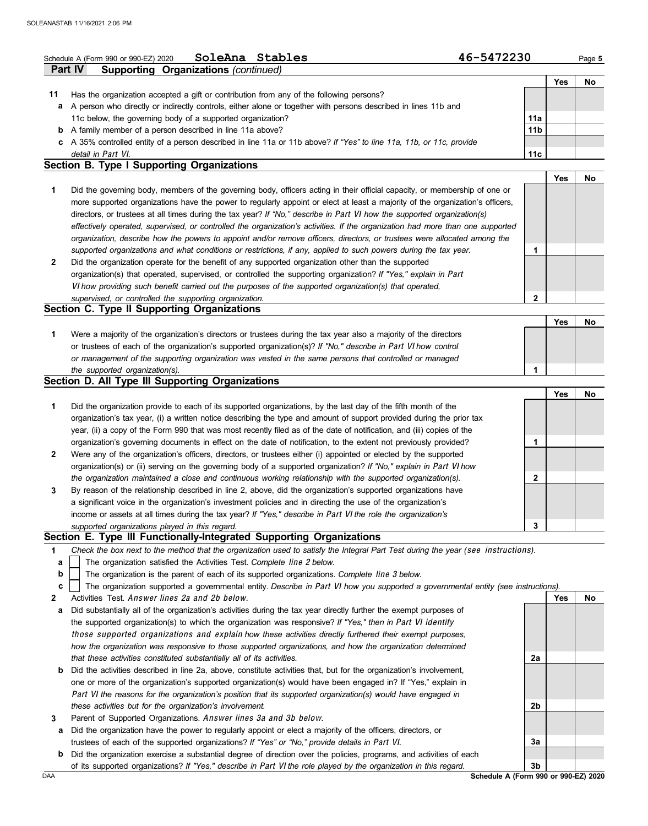|              | SoleAna Stables<br>Schedule A (Form 990 or 990-EZ) 2020                                                                           | 46-5472230                           |            | Page 5 |
|--------------|-----------------------------------------------------------------------------------------------------------------------------------|--------------------------------------|------------|--------|
|              | Part IV<br>Supporting Organizations (continued)                                                                                   |                                      |            |        |
|              |                                                                                                                                   |                                      | <b>Yes</b> | No     |
| 11           | Has the organization accepted a gift or contribution from any of the following persons?                                           |                                      |            |        |
| а            | A person who directly or indirectly controls, either alone or together with persons described in lines 11b and                    |                                      |            |        |
|              | 11c below, the governing body of a supported organization?                                                                        | 11a                                  |            |        |
| b            | A family member of a person described in line 11a above?                                                                          | 11 <sub>b</sub>                      |            |        |
| C            | A 35% controlled entity of a person described in line 11a or 11b above? If "Yes" to line 11a, 11b, or 11c, provide                |                                      |            |        |
|              | detail in Part VI.                                                                                                                | 11 <sub>c</sub>                      |            |        |
|              | <b>Section B. Type I Supporting Organizations</b>                                                                                 |                                      |            |        |
|              |                                                                                                                                   |                                      | <b>Yes</b> | No     |
| 1            | Did the governing body, members of the governing body, officers acting in their official capacity, or membership of one or        |                                      |            |        |
|              | more supported organizations have the power to regularly appoint or elect at least a majority of the organization's officers,     |                                      |            |        |
|              | directors, or trustees at all times during the tax year? If "No," describe in Part VI how the supported organization(s)           |                                      |            |        |
|              | effectively operated, supervised, or controlled the organization's activities. If the organization had more than one supported    |                                      |            |        |
|              | organization, describe how the powers to appoint and/or remove officers, directors, or trustees were allocated among the          |                                      |            |        |
|              | supported organizations and what conditions or restrictions, if any, applied to such powers during the tax year.                  | 1                                    |            |        |
| $\mathbf{2}$ | Did the organization operate for the benefit of any supported organization other than the supported                               |                                      |            |        |
|              | organization(s) that operated, supervised, or controlled the supporting organization? If "Yes," explain in Part                   |                                      |            |        |
|              | VI how providing such benefit carried out the purposes of the supported organization(s) that operated,                            |                                      |            |        |
|              | supervised, or controlled the supporting organization.                                                                            | 2                                    |            |        |
|              | Section C. Type II Supporting Organizations                                                                                       |                                      |            |        |
|              |                                                                                                                                   |                                      | <b>Yes</b> | No     |
| 1            | Were a majority of the organization's directors or trustees during the tax year also a majority of the directors                  |                                      |            |        |
|              | or trustees of each of the organization's supported organization(s)? If "No," describe in Part VI how control                     |                                      |            |        |
|              | or management of the supporting organization was vested in the same persons that controlled or managed                            |                                      |            |        |
|              | the supported organization(s).                                                                                                    | 1                                    |            |        |
|              | Section D. All Type III Supporting Organizations                                                                                  |                                      |            |        |
|              |                                                                                                                                   |                                      | Yes        | No     |
| 1            | Did the organization provide to each of its supported organizations, by the last day of the fifth month of the                    |                                      |            |        |
|              | organization's tax year, (i) a written notice describing the type and amount of support provided during the prior tax             |                                      |            |        |
|              | year, (ii) a copy of the Form 990 that was most recently filed as of the date of notification, and (iii) copies of the            |                                      |            |        |
|              | organization's governing documents in effect on the date of notification, to the extent not previously provided?                  | 1                                    |            |        |
| 2            | Were any of the organization's officers, directors, or trustees either (i) appointed or elected by the supported                  |                                      |            |        |
|              | organization(s) or (ii) serving on the governing body of a supported organization? If "No," explain in Part VI how                |                                      |            |        |
|              | the organization maintained a close and continuous working relationship with the supported organization(s).                       | $\mathbf{2}$                         |            |        |
| 3            | By reason of the relationship described in line 2, above, did the organization's supported organizations have                     |                                      |            |        |
|              | a significant voice in the organization's investment policies and in directing the use of the organization's                      |                                      |            |        |
|              | income or assets at all times during the tax year? If "Yes," describe in Part VI the role the organization's                      |                                      |            |        |
|              | supported organizations played in this regard.                                                                                    | 3                                    |            |        |
|              | Section E. Type III Functionally-Integrated Supporting Organizations                                                              |                                      |            |        |
| 1            | Check the box next to the method that the organization used to satisfy the Integral Part Test during the year (see instructions). |                                      |            |        |
| a            | The organization satisfied the Activities Test. Complete line 2 below.                                                            |                                      |            |        |
| b            | The organization is the parent of each of its supported organizations. Complete line 3 below.                                     |                                      |            |        |
| c            | The organization supported a governmental entity. Describe in Part VI how you supported a governmental entity (see instructions). |                                      |            |        |
| 2            | Activities Test. Answer lines 2a and 2b below.                                                                                    |                                      | Yes        | No     |
| а            | Did substantially all of the organization's activities during the tax year directly further the exempt purposes of                |                                      |            |        |
|              | the supported organization(s) to which the organization was responsive? If "Yes," then in Part VI identify                        |                                      |            |        |
|              | those supported organizations and explain how these activities directly furthered their exempt purposes,                          |                                      |            |        |
|              | how the organization was responsive to those supported organizations, and how the organization determined                         |                                      |            |        |
|              | that these activities constituted substantially all of its activities.                                                            | 2a                                   |            |        |
| b            | Did the activities described in line 2a, above, constitute activities that, but for the organization's involvement,               |                                      |            |        |
|              | one or more of the organization's supported organization(s) would have been engaged in? If "Yes," explain in                      |                                      |            |        |
|              | Part VI the reasons for the organization's position that its supported organization(s) would have engaged in                      |                                      |            |        |
|              | these activities but for the organization's involvement.                                                                          | 2b                                   |            |        |
| 3            | Parent of Supported Organizations. Answer lines 3a and 3b below.                                                                  |                                      |            |        |
| а            | Did the organization have the power to regularly appoint or elect a majority of the officers, directors, or                       |                                      |            |        |
|              | trustees of each of the supported organizations? If "Yes" or "No," provide details in Part VI.                                    | За                                   |            |        |
| b            | Did the organization exercise a substantial degree of direction over the policies, programs, and activities of each               |                                      |            |        |
|              | of its supported organizations? If "Yes," describe in Part VI the role played by the organization in this regard.                 | 3b                                   |            |        |
| DAA          |                                                                                                                                   | Schedule A (Form 990 or 990-EZ) 2020 |            |        |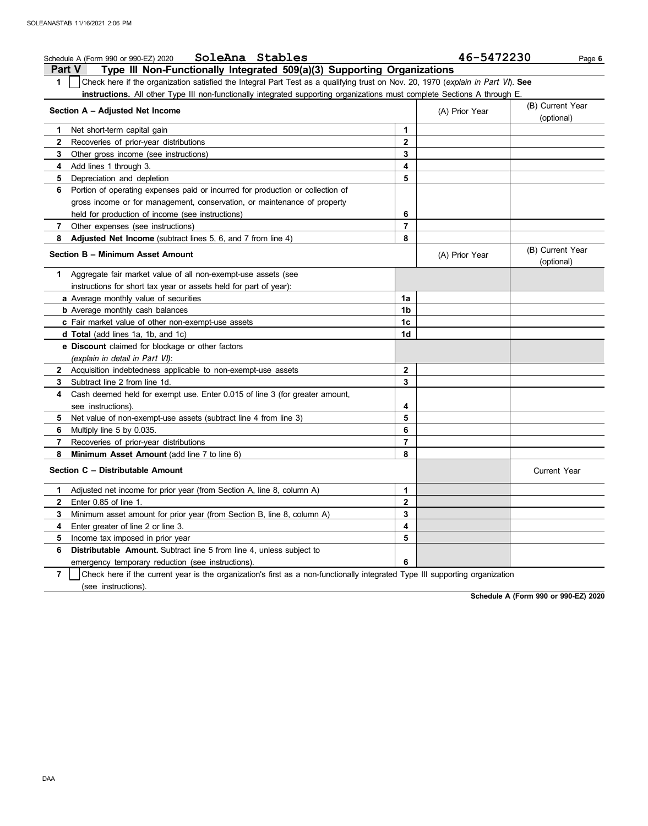| SoleAna Stables<br>Schedule A (Form 990 or 990-EZ) 2020                                                                               |                | 46-5472230     | Page 6                         |
|---------------------------------------------------------------------------------------------------------------------------------------|----------------|----------------|--------------------------------|
| Type III Non-Functionally Integrated 509(a)(3) Supporting Organizations<br><b>Part V</b>                                              |                |                |                                |
| Check here if the organization satisfied the Integral Part Test as a qualifying trust on Nov. 20, 1970 (explain in Part VI). See<br>1 |                |                |                                |
| instructions. All other Type III non-functionally integrated supporting organizations must complete Sections A through E.             |                |                |                                |
| Section A - Adjusted Net Income                                                                                                       |                | (A) Prior Year | (B) Current Year<br>(optional) |
| Net short-term capital gain<br>1                                                                                                      | 1              |                |                                |
| 2<br>Recoveries of prior-year distributions                                                                                           | $\mathbf{2}$   |                |                                |
| 3<br>Other gross income (see instructions)                                                                                            | 3              |                |                                |
| Add lines 1 through 3.<br>4                                                                                                           | 4              |                |                                |
| 5<br>Depreciation and depletion                                                                                                       | 5              |                |                                |
| Portion of operating expenses paid or incurred for production or collection of<br>6                                                   |                |                |                                |
| gross income or for management, conservation, or maintenance of property                                                              |                |                |                                |
| held for production of income (see instructions)                                                                                      | 6              |                |                                |
| 7<br>Other expenses (see instructions)                                                                                                | 7              |                |                                |
| Adjusted Net Income (subtract lines 5, 6, and 7 from line 4)<br>8                                                                     | 8              |                |                                |
| Section B - Minimum Asset Amount                                                                                                      |                | (A) Prior Year | (B) Current Year<br>(optional) |
| Aggregate fair market value of all non-exempt-use assets (see<br>1.                                                                   |                |                |                                |
| instructions for short tax year or assets held for part of year):                                                                     |                |                |                                |
| a Average monthly value of securities                                                                                                 | 1a             |                |                                |
| <b>b</b> Average monthly cash balances                                                                                                | 1b             |                |                                |
| <b>c</b> Fair market value of other non-exempt-use assets                                                                             | 1c             |                |                                |
| <b>d Total</b> (add lines 1a, 1b, and 1c)                                                                                             | 1d             |                |                                |
| e Discount claimed for blockage or other factors                                                                                      |                |                |                                |
| (explain in detail in Part VI):                                                                                                       |                |                |                                |
| $\mathbf{2}$<br>Acquisition indebtedness applicable to non-exempt-use assets                                                          | $\mathbf{2}$   |                |                                |
| Subtract line 2 from line 1d.<br>3                                                                                                    | 3              |                |                                |
| Cash deemed held for exempt use. Enter 0.015 of line 3 (for greater amount,<br>4                                                      |                |                |                                |
| see instructions)                                                                                                                     | 4              |                |                                |
| 5<br>Net value of non-exempt-use assets (subtract line 4 from line 3)                                                                 | 5              |                |                                |
| 6<br>Multiply line 5 by 0.035.                                                                                                        | 6              |                |                                |
| 7<br>Recoveries of prior-year distributions                                                                                           | $\overline{7}$ |                |                                |
| 8<br>Minimum Asset Amount (add line 7 to line 6)                                                                                      | 8              |                |                                |
| Section C - Distributable Amount                                                                                                      |                |                | <b>Current Year</b>            |
| Adjusted net income for prior year (from Section A, line 8, column A)<br>1                                                            | 1              |                |                                |
| Enter 0.85 of line 1.<br>2                                                                                                            | 2              |                |                                |
| 3<br>Minimum asset amount for prior year (from Section B, line 8, column A)                                                           | 3              |                |                                |
| Enter greater of line 2 or line 3.<br>4                                                                                               | 4              |                |                                |
| 5<br>Income tax imposed in prior year                                                                                                 | 5              |                |                                |
| Distributable Amount. Subtract line 5 from line 4, unless subject to<br>6                                                             |                |                |                                |
| emergency temporary reduction (see instructions).                                                                                     | 6              |                |                                |
| 7<br>Check here if the current year is the organization's first as a non-functionally integrated Type III supporting organization     |                |                |                                |

(see instructions).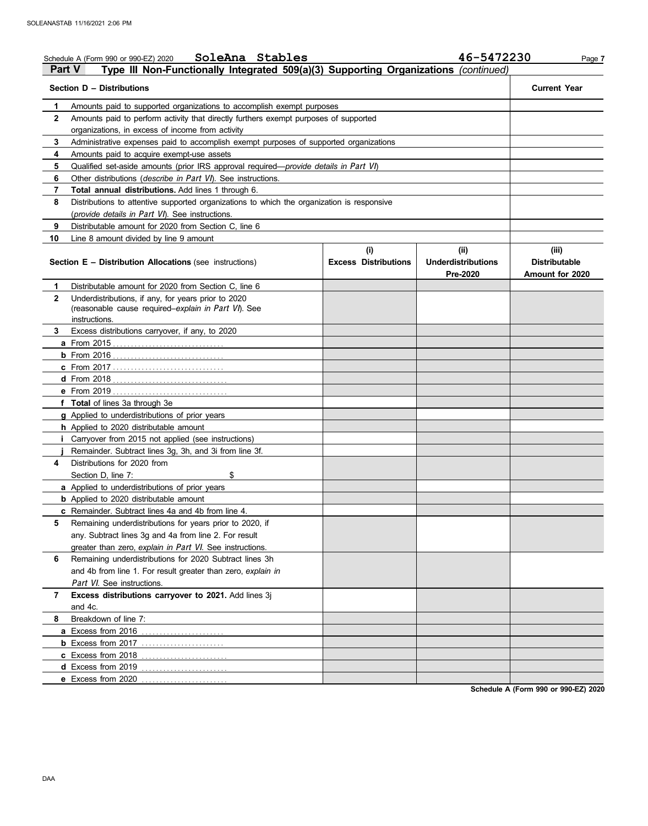|              | SoleAna Stables<br>Schedule A (Form 990 or 990-EZ) 2020<br>Type III Non-Functionally Integrated 509(a)(3) Supporting Organizations (continued)<br><b>Part V</b> |                             | 46-5472230                            | Page 7                                  |
|--------------|-----------------------------------------------------------------------------------------------------------------------------------------------------------------|-----------------------------|---------------------------------------|-----------------------------------------|
|              | Section D - Distributions                                                                                                                                       |                             |                                       | <b>Current Year</b>                     |
| 1            | Amounts paid to supported organizations to accomplish exempt purposes                                                                                           |                             |                                       |                                         |
| 2            | Amounts paid to perform activity that directly furthers exempt purposes of supported                                                                            |                             |                                       |                                         |
|              | organizations, in excess of income from activity                                                                                                                |                             |                                       |                                         |
| 3            | Administrative expenses paid to accomplish exempt purposes of supported organizations                                                                           |                             |                                       |                                         |
| 4            | Amounts paid to acquire exempt-use assets                                                                                                                       |                             |                                       |                                         |
| 5            | Qualified set-aside amounts (prior IRS approval required-provide details in Part VI)                                                                            |                             |                                       |                                         |
| 6            | Other distributions (describe in Part VI). See instructions.                                                                                                    |                             |                                       |                                         |
| 7            | Total annual distributions. Add lines 1 through 6.                                                                                                              |                             |                                       |                                         |
| 8            | Distributions to attentive supported organizations to which the organization is responsive                                                                      |                             |                                       |                                         |
|              | (provide details in Part VI). See instructions.                                                                                                                 |                             |                                       |                                         |
| 9            | Distributable amount for 2020 from Section C, line 6                                                                                                            |                             |                                       |                                         |
| 10           | Line 8 amount divided by line 9 amount                                                                                                                          |                             |                                       |                                         |
|              |                                                                                                                                                                 | (i)                         | (ii)                                  | (iii)                                   |
|              | <b>Section E - Distribution Allocations (see instructions)</b>                                                                                                  | <b>Excess Distributions</b> | <b>Underdistributions</b><br>Pre-2020 | <b>Distributable</b><br>Amount for 2020 |
| 1            | Distributable amount for 2020 from Section C, line 6                                                                                                            |                             |                                       |                                         |
| $\mathbf{2}$ | Underdistributions, if any, for years prior to 2020                                                                                                             |                             |                                       |                                         |
|              | (reasonable cause required-explain in Part VI). See                                                                                                             |                             |                                       |                                         |
|              | instructions.                                                                                                                                                   |                             |                                       |                                         |
| 3            | Excess distributions carryover, if any, to 2020                                                                                                                 |                             |                                       |                                         |
|              |                                                                                                                                                                 |                             |                                       |                                         |
|              |                                                                                                                                                                 |                             |                                       |                                         |
|              | c From 2017                                                                                                                                                     |                             |                                       |                                         |
|              |                                                                                                                                                                 |                             |                                       |                                         |
|              |                                                                                                                                                                 |                             |                                       |                                         |
|              | f Total of lines 3a through 3e                                                                                                                                  |                             |                                       |                                         |
|              | g Applied to underdistributions of prior years                                                                                                                  |                             |                                       |                                         |
|              | h Applied to 2020 distributable amount                                                                                                                          |                             |                                       |                                         |
|              | Carryover from 2015 not applied (see instructions)                                                                                                              |                             |                                       |                                         |
|              | Remainder. Subtract lines 3g, 3h, and 3i from line 3f.                                                                                                          |                             |                                       |                                         |
| 4            | Distributions for 2020 from                                                                                                                                     |                             |                                       |                                         |
|              | Section D, line 7:<br>\$                                                                                                                                        |                             |                                       |                                         |
|              | a Applied to underdistributions of prior years                                                                                                                  |                             |                                       |                                         |
|              | <b>b</b> Applied to 2020 distributable amount                                                                                                                   |                             |                                       |                                         |
|              | c Remainder. Subtract lines 4a and 4b from line 4.                                                                                                              |                             |                                       |                                         |
| 5            | Remaining underdistributions for years prior to 2020, if                                                                                                        |                             |                                       |                                         |
|              | any. Subtract lines 3g and 4a from line 2. For result                                                                                                           |                             |                                       |                                         |
|              | greater than zero, explain in Part VI. See instructions.                                                                                                        |                             |                                       |                                         |
| 6            | Remaining underdistributions for 2020 Subtract lines 3h                                                                                                         |                             |                                       |                                         |
|              | and 4b from line 1. For result greater than zero, explain in                                                                                                    |                             |                                       |                                         |
|              | Part VI. See instructions.                                                                                                                                      |                             |                                       |                                         |
| 7            | Excess distributions carryover to 2021. Add lines 3j                                                                                                            |                             |                                       |                                         |
|              | and 4c.                                                                                                                                                         |                             |                                       |                                         |
| 8            | Breakdown of line 7:                                                                                                                                            |                             |                                       |                                         |
|              | a Excess from 2016                                                                                                                                              |                             |                                       |                                         |
|              |                                                                                                                                                                 |                             |                                       |                                         |
|              | c Excess from 2018                                                                                                                                              |                             |                                       |                                         |
|              | d Excess from 2019                                                                                                                                              |                             |                                       |                                         |
|              | e Excess from 2020                                                                                                                                              |                             |                                       |                                         |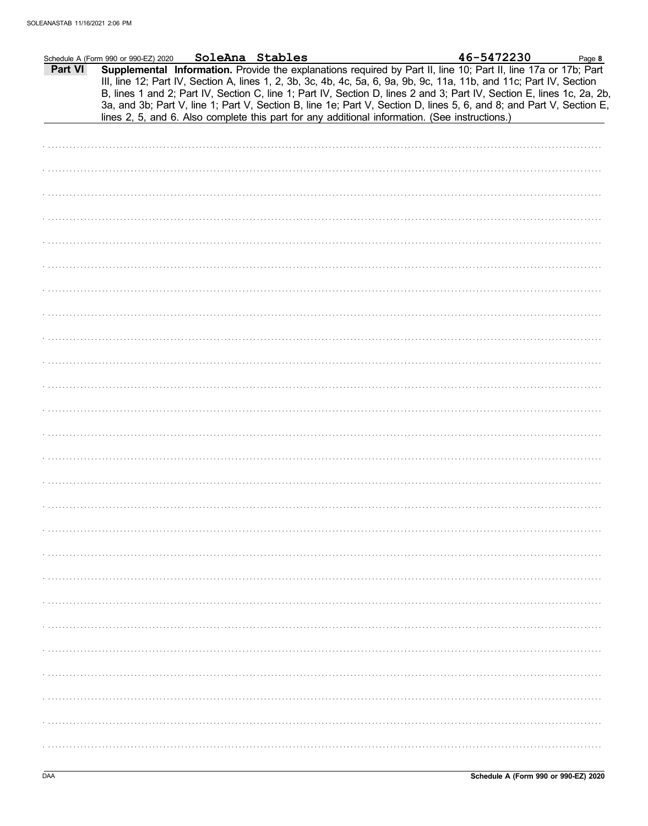|         | Schedule A (Form 990 or 990-EZ) 2020 | SoleAna Stables |                                                                                                | 46-5472230                                                                                                                                                                                                                                                                                                                                                        | Page 8 |
|---------|--------------------------------------|-----------------|------------------------------------------------------------------------------------------------|-------------------------------------------------------------------------------------------------------------------------------------------------------------------------------------------------------------------------------------------------------------------------------------------------------------------------------------------------------------------|--------|
| Part VI |                                      |                 |                                                                                                | Supplemental Information. Provide the explanations required by Part II, line 10; Part II, line 17a or 17b; Part<br>III, line 12; Part IV, Section A, lines 1, 2, 3b, 3c, 4b, 4c, 5a, 6, 9a, 9b, 9c, 11a, 11b, and 11c; Part IV, Section<br>B, lines 1 and 2; Part IV, Section C, line 1; Part IV, Section D, lines 2 and 3; Part IV, Section E, lines 1c, 2a, 2b, |        |
|         |                                      |                 | lines 2, 5, and 6. Also complete this part for any additional information. (See instructions.) | 3a, and 3b; Part V, line 1; Part V, Section B, line 1e; Part V, Section D, lines 5, 6, and 8; and Part V, Section E,                                                                                                                                                                                                                                              |        |
|         |                                      |                 |                                                                                                |                                                                                                                                                                                                                                                                                                                                                                   |        |
|         |                                      |                 |                                                                                                |                                                                                                                                                                                                                                                                                                                                                                   |        |
|         |                                      |                 |                                                                                                |                                                                                                                                                                                                                                                                                                                                                                   |        |
|         |                                      |                 |                                                                                                |                                                                                                                                                                                                                                                                                                                                                                   |        |
|         |                                      |                 |                                                                                                |                                                                                                                                                                                                                                                                                                                                                                   |        |
|         |                                      |                 |                                                                                                |                                                                                                                                                                                                                                                                                                                                                                   |        |
|         |                                      |                 |                                                                                                |                                                                                                                                                                                                                                                                                                                                                                   |        |
|         |                                      |                 |                                                                                                |                                                                                                                                                                                                                                                                                                                                                                   |        |
|         |                                      |                 |                                                                                                |                                                                                                                                                                                                                                                                                                                                                                   |        |
|         |                                      |                 |                                                                                                |                                                                                                                                                                                                                                                                                                                                                                   |        |
|         |                                      |                 |                                                                                                |                                                                                                                                                                                                                                                                                                                                                                   |        |
|         |                                      |                 |                                                                                                |                                                                                                                                                                                                                                                                                                                                                                   |        |
|         |                                      |                 |                                                                                                |                                                                                                                                                                                                                                                                                                                                                                   |        |
|         |                                      |                 |                                                                                                |                                                                                                                                                                                                                                                                                                                                                                   |        |
|         |                                      |                 |                                                                                                |                                                                                                                                                                                                                                                                                                                                                                   |        |
|         |                                      |                 |                                                                                                |                                                                                                                                                                                                                                                                                                                                                                   |        |
|         |                                      |                 |                                                                                                |                                                                                                                                                                                                                                                                                                                                                                   |        |
|         |                                      |                 |                                                                                                |                                                                                                                                                                                                                                                                                                                                                                   |        |
|         |                                      |                 |                                                                                                |                                                                                                                                                                                                                                                                                                                                                                   |        |
|         |                                      |                 |                                                                                                |                                                                                                                                                                                                                                                                                                                                                                   |        |
|         |                                      |                 |                                                                                                |                                                                                                                                                                                                                                                                                                                                                                   |        |
|         |                                      |                 |                                                                                                |                                                                                                                                                                                                                                                                                                                                                                   |        |
|         |                                      |                 |                                                                                                |                                                                                                                                                                                                                                                                                                                                                                   |        |
|         |                                      |                 |                                                                                                |                                                                                                                                                                                                                                                                                                                                                                   |        |
|         |                                      |                 |                                                                                                |                                                                                                                                                                                                                                                                                                                                                                   |        |
|         |                                      |                 |                                                                                                |                                                                                                                                                                                                                                                                                                                                                                   |        |
|         |                                      |                 |                                                                                                |                                                                                                                                                                                                                                                                                                                                                                   |        |
|         |                                      |                 |                                                                                                |                                                                                                                                                                                                                                                                                                                                                                   |        |
|         |                                      |                 |                                                                                                |                                                                                                                                                                                                                                                                                                                                                                   |        |
|         |                                      |                 |                                                                                                |                                                                                                                                                                                                                                                                                                                                                                   |        |
|         |                                      |                 |                                                                                                |                                                                                                                                                                                                                                                                                                                                                                   |        |
|         |                                      |                 |                                                                                                |                                                                                                                                                                                                                                                                                                                                                                   |        |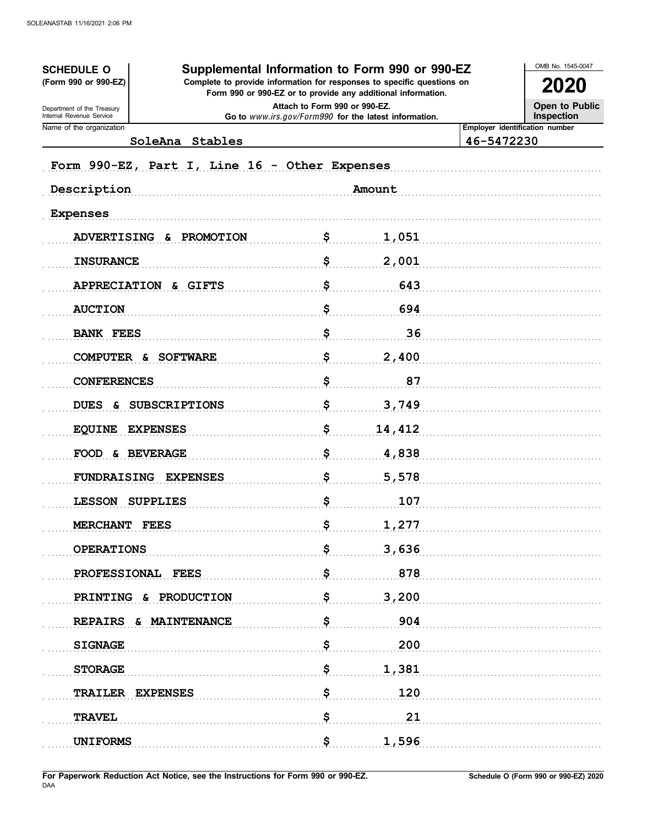| Supplemental Information to Form 990 or 990-EZ<br><b>SCHEDULE O</b>                                                                                            |                                                                                        |        |                                | OMB No. 1545-0047            |
|----------------------------------------------------------------------------------------------------------------------------------------------------------------|----------------------------------------------------------------------------------------|--------|--------------------------------|------------------------------|
| (Form 990 or 990-EZ)<br>Complete to provide information for responses to specific questions on<br>Form 990 or 990-EZ or to provide any additional information. |                                                                                        |        |                                | <b>2020</b>                  |
| Department of the Treasury<br>Internal Revenue Service                                                                                                         | Attach to Form 990 or 990-EZ.<br>Go to www.irs.gov/Form990 for the latest information. |        |                                | Open to Public<br>Inspection |
| Name of the organization                                                                                                                                       |                                                                                        |        | Employer identification number |                              |
| SoleAna Stables                                                                                                                                                |                                                                                        |        | 46-5472230                     |                              |
| Form 990-EZ, Part I, Line 16 - Other Expenses                                                                                                                  |                                                                                        |        |                                |                              |
| Description                                                                                                                                                    |                                                                                        | Amount |                                |                              |
| <b>Expenses</b>                                                                                                                                                |                                                                                        |        |                                |                              |
| <b>ADVERTISING</b><br>&.<br><b>PROMOTION</b>                                                                                                                   | \$                                                                                     | 1,051  |                                |                              |
| <b>INSURANCE</b>                                                                                                                                               | \$                                                                                     | 2,001  |                                |                              |
| <b>APPRECIATION</b><br>& GIFTS                                                                                                                                 | \$                                                                                     | 643    |                                |                              |
| <b>AUCTION</b>                                                                                                                                                 | \$                                                                                     | 694    |                                |                              |
| <b>BANK FEES</b>                                                                                                                                               | \$                                                                                     | 36     |                                |                              |
| <b>SOFTWARE</b><br>COMPUTER &                                                                                                                                  | \$                                                                                     | 2,400  |                                |                              |
| <b>CONFERENCES</b>                                                                                                                                             | \$                                                                                     | 87     |                                |                              |
| <b>SUBSCRIPTIONS</b><br><b>DUES</b><br>&.                                                                                                                      | \$                                                                                     | 3,749  |                                |                              |
| <b>EQUINE</b><br><b>EXPENSES</b>                                                                                                                               | \$                                                                                     | 14,412 |                                |                              |
| <b>FOOD</b><br><b>&amp; BEVERAGE</b>                                                                                                                           | \$                                                                                     | 4,838  |                                |                              |
| <b>FUNDRAISING</b><br><b>EXPENSES</b>                                                                                                                          | \$                                                                                     | 5,578  |                                |                              |
| LESSON SUPPLIES                                                                                                                                                | Ş                                                                                      | 107    |                                |                              |
| MERCHANT FEES                                                                                                                                                  | \$                                                                                     | 1,277  |                                |                              |
| <b>OPERATIONS</b>                                                                                                                                              | \$                                                                                     | 3,636  |                                |                              |
| PROFESSIONAL FEES                                                                                                                                              | \$                                                                                     | 878    |                                |                              |
| PRINTING<br>& PRODUCTION                                                                                                                                       | \$                                                                                     | 3,200  |                                |                              |
| & MAINTENANCE<br><b>REPAIRS</b>                                                                                                                                | \$                                                                                     | 904    |                                |                              |
| <b>SIGNAGE</b>                                                                                                                                                 | \$                                                                                     | 200    |                                |                              |
| <b>STORAGE</b>                                                                                                                                                 | \$                                                                                     | 1,381  |                                |                              |
| <b>TRAILER</b><br><b>EXPENSES</b>                                                                                                                              | \$                                                                                     | 120    |                                |                              |
| <b>TRAVEL</b>                                                                                                                                                  | \$                                                                                     | 21     |                                |                              |
| <b>UNIFORMS</b>                                                                                                                                                | \$                                                                                     | 1,596  |                                |                              |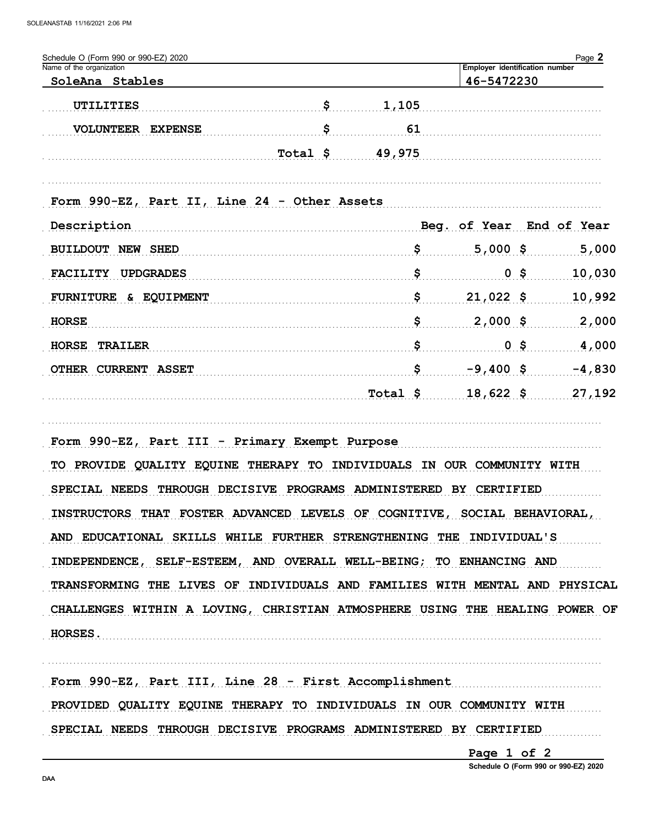| Schedule O (Form 990 or 990-EZ) 2020<br>Name of the organization<br>SoleAna Stables                                                                                                                                                                                                                                                                                                                                                                                                                          |                      |                                               | 46-5472230                             | Page 2<br>Employer identification number |  |  |
|--------------------------------------------------------------------------------------------------------------------------------------------------------------------------------------------------------------------------------------------------------------------------------------------------------------------------------------------------------------------------------------------------------------------------------------------------------------------------------------------------------------|----------------------|-----------------------------------------------|----------------------------------------|------------------------------------------|--|--|
| UTILITIES                                                                                                                                                                                                                                                                                                                                                                                                                                                                                                    | \$                   | 1,105                                         |                                        |                                          |  |  |
| <b>VOLUNTEER</b><br><b>EXPENSE</b>                                                                                                                                                                                                                                                                                                                                                                                                                                                                           | \$                   | 61                                            |                                        |                                          |  |  |
|                                                                                                                                                                                                                                                                                                                                                                                                                                                                                                              | Total \$             | 49,975                                        |                                        |                                          |  |  |
|                                                                                                                                                                                                                                                                                                                                                                                                                                                                                                              |                      |                                               |                                        |                                          |  |  |
| Form 990-EZ, Part II, Line 24 - Other Assets                                                                                                                                                                                                                                                                                                                                                                                                                                                                 |                      |                                               |                                        |                                          |  |  |
| Description                                                                                                                                                                                                                                                                                                                                                                                                                                                                                                  |                      |                                               | Beg. of Year                           | End of Year                              |  |  |
| <b>BUILDOUT NEW SHED</b>                                                                                                                                                                                                                                                                                                                                                                                                                                                                                     |                      |                                               | $5,000$ \$                             | 5,000                                    |  |  |
| <b>UPDGRADES</b><br><b>FACILITY</b>                                                                                                                                                                                                                                                                                                                                                                                                                                                                          |                      | \$                                            | 0 \$                                   | 10,030                                   |  |  |
| <b>FURNITURE</b><br><b>&amp; EQUIPMENT</b>                                                                                                                                                                                                                                                                                                                                                                                                                                                                   |                      | \$                                            | $21,022$ \$                            | 10,992                                   |  |  |
| <b>HORSE</b>                                                                                                                                                                                                                                                                                                                                                                                                                                                                                                 |                      |                                               | $2,000$ \$                             | 2,000                                    |  |  |
| <b>HORSE</b><br><b>TRAILER</b>                                                                                                                                                                                                                                                                                                                                                                                                                                                                               |                      |                                               | 0 \$                                   | 4,000                                    |  |  |
| OTHER CURRENT ASSET                                                                                                                                                                                                                                                                                                                                                                                                                                                                                          |                      | \$                                            | $-9,400$ \$                            | $-4,830$                                 |  |  |
|                                                                                                                                                                                                                                                                                                                                                                                                                                                                                                              |                      | Total \$                                      | $18,622$ \$                            | 27,192                                   |  |  |
| Form 990-EZ, Part III - Primary Exempt Purpose<br>PROVIDE QUALITY EQUINE<br>TO.<br>SPECIAL NEEDS<br>THROUGH DECISIVE<br>INSTRUCTORS THAT FOSTER ADVANCED LEVELS OF COGNITIVE, SOCIAL BEHAVIORAL,<br>AND EDUCATIONAL SKILLS WHILE FURTHER STRENGTHENING THE INDIVIDUAL'S<br>INDEPENDENCE, SELF-ESTEEM, AND OVERALL WELL-BEING; TO ENHANCING AND<br>TRANSFORMING THE LIVES OF INDIVIDUALS AND FAMILIES WITH MENTAL AND PHYSICAL<br>CHALLENGES WITHIN A LOVING, CHRISTIAN ATMOSPHERE USING THE HEALING POWER OF | <b>THERAPY</b><br>TО | INDIVIDUALS<br>IN<br>PROGRAMS ADMINISTERED BY | OUR COMMUNITY WITH<br><b>CERTIFIED</b> |                                          |  |  |
| <b>HORSES.</b>                                                                                                                                                                                                                                                                                                                                                                                                                                                                                               |                      |                                               |                                        |                                          |  |  |
| Form 990-EZ, Part III, Line 28 - First Accomplishment                                                                                                                                                                                                                                                                                                                                                                                                                                                        |                      |                                               |                                        |                                          |  |  |
| PROVIDED QUALITY EQUINE THERAPY TO INDIVIDUALS IN OUR COMMUNITY WITH                                                                                                                                                                                                                                                                                                                                                                                                                                         |                      |                                               |                                        |                                          |  |  |
| SPECIAL NEEDS THROUGH DECISIVE PROGRAMS ADMINISTERED BY CERTIFIED                                                                                                                                                                                                                                                                                                                                                                                                                                            |                      |                                               |                                        |                                          |  |  |

Page 1 of 2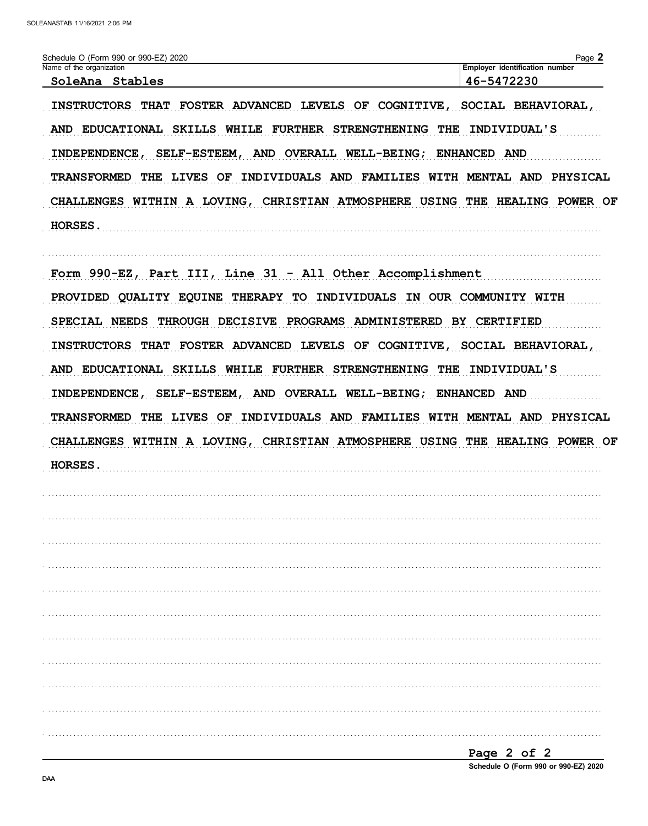| Schedule O (Form 990 or 990-EZ) 2020<br>Name of the organization                                                                                          | Page 2<br>Employer identification number |  |  |  |
|-----------------------------------------------------------------------------------------------------------------------------------------------------------|------------------------------------------|--|--|--|
| SoleAna Stables                                                                                                                                           | 46-5472230                               |  |  |  |
| INSTRUCTORS THAT FOSTER ADVANCED LEVELS OF COGNITIVE, SOCIAL BEHAVIORAL,                                                                                  |                                          |  |  |  |
| AND EDUCATIONAL SKILLS WHILE FURTHER STRENGTHENING THE                                                                                                    | INDIVIDUAL'S                             |  |  |  |
| INDEPENDENCE, SELF-ESTEEM, AND OVERALL WELL-BEING; ENHANCED AND                                                                                           |                                          |  |  |  |
| TRANSFORMED THE LIVES OF INDIVIDUALS AND FAMILIES WITH MENTAL AND PHYSICAL<br>CHALLENGES WITHIN A LOVING, CHRISTIAN ATMOSPHERE USING THE HEALING POWER OF |                                          |  |  |  |
|                                                                                                                                                           |                                          |  |  |  |
|                                                                                                                                                           |                                          |  |  |  |
| Form 990-EZ, Part III, Line 31 - All Other Accomplishment                                                                                                 |                                          |  |  |  |
| PROVIDED QUALITY EQUINE THERAPY TO INDIVIDUALS IN OUR COMMUNITY WITH                                                                                      |                                          |  |  |  |
| SPECIAL NEEDS THROUGH DECISIVE PROGRAMS ADMINISTERED BY CERTIFIED                                                                                         |                                          |  |  |  |
| INSTRUCTORS THAT FOSTER ADVANCED LEVELS OF COGNITIVE, SOCIAL BEHAVIORAL,                                                                                  |                                          |  |  |  |
| AND EDUCATIONAL SKILLS WHILE FURTHER STRENGTHENING THE INDIVIDUAL'S                                                                                       |                                          |  |  |  |
| INDEPENDENCE, SELF-ESTEEM, AND OVERALL WELL-BEING; ENHANCED AND                                                                                           |                                          |  |  |  |
|                                                                                                                                                           |                                          |  |  |  |
| TRANSFORMED THE LIVES OF INDIVIDUALS AND FAMILIES WITH MENTAL AND PHYSICAL                                                                                |                                          |  |  |  |
| CHALLENGES WITHIN A LOVING, CHRISTIAN ATMOSPHERE USING THE HEALING POWER OF                                                                               |                                          |  |  |  |
| <b>HORSES.</b>                                                                                                                                            |                                          |  |  |  |
|                                                                                                                                                           |                                          |  |  |  |
|                                                                                                                                                           |                                          |  |  |  |
|                                                                                                                                                           |                                          |  |  |  |
|                                                                                                                                                           |                                          |  |  |  |
|                                                                                                                                                           |                                          |  |  |  |
|                                                                                                                                                           |                                          |  |  |  |
|                                                                                                                                                           |                                          |  |  |  |
|                                                                                                                                                           |                                          |  |  |  |
|                                                                                                                                                           |                                          |  |  |  |
|                                                                                                                                                           |                                          |  |  |  |
|                                                                                                                                                           |                                          |  |  |  |
|                                                                                                                                                           |                                          |  |  |  |
|                                                                                                                                                           | Page 2 of 2                              |  |  |  |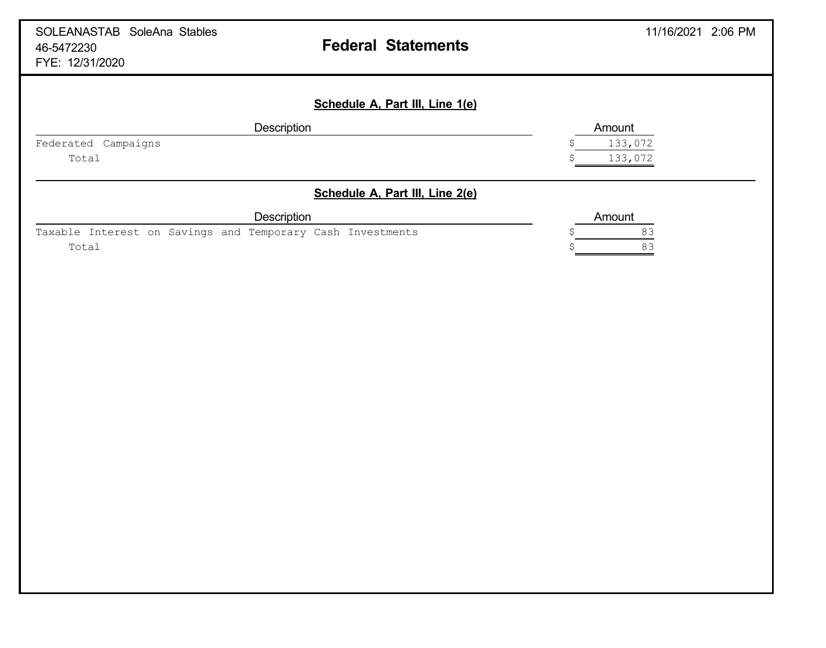| SOLEANASTAB SoleAna Stables<br>46-5472230<br>FYE: 12/31/2020 | <b>Federal Statements</b>       | 11/16/2021 2:06 PM |
|--------------------------------------------------------------|---------------------------------|--------------------|
|                                                              | Schedule A, Part III, Line 1(e) |                    |
|                                                              | Description                     | Amount             |
| Federated Campaigns                                          |                                 | 133,072            |
| Total                                                        |                                 | 133,072            |
|                                                              | Schedule A, Part III, Line 2(e) |                    |
|                                                              | <b>Description</b>              | Amount             |
| Taxable Interest on Savings and Temporary Cash Investments   |                                 | 83                 |
| Total                                                        |                                 | 83                 |
|                                                              |                                 |                    |